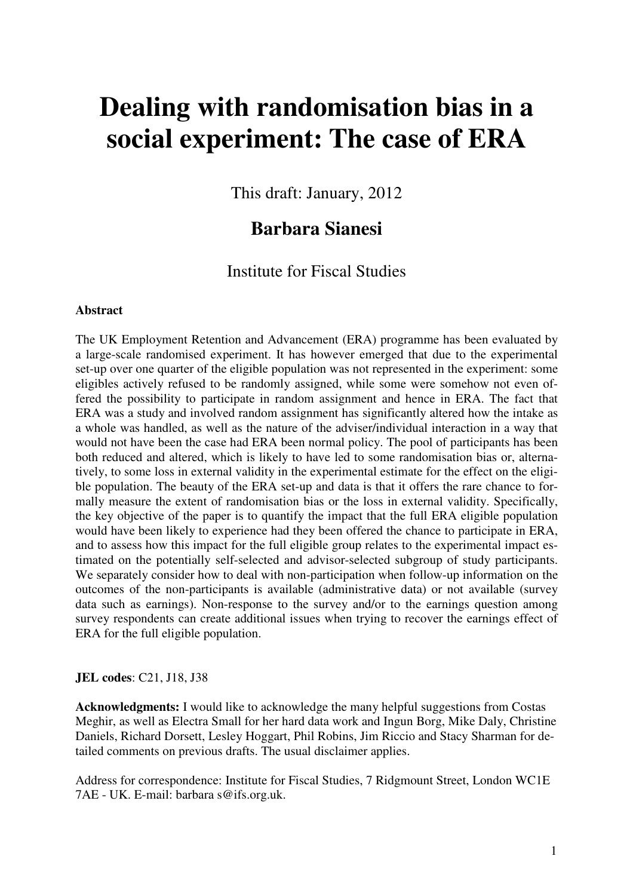# **Dealing with randomisation bias in a social experiment: The case of ERA**

This draft: January, 2012

### **Barbara Sianesi**

Institute for Fiscal Studies

#### **Abstract**

The UK Employment Retention and Advancement (ERA) programme has been evaluated by a large-scale randomised experiment. It has however emerged that due to the experimental set-up over one quarter of the eligible population was not represented in the experiment: some eligibles actively refused to be randomly assigned, while some were somehow not even offered the possibility to participate in random assignment and hence in ERA. The fact that ERA was a study and involved random assignment has significantly altered how the intake as a whole was handled, as well as the nature of the adviser/individual interaction in a way that would not have been the case had ERA been normal policy. The pool of participants has been both reduced and altered, which is likely to have led to some randomisation bias or, alternatively, to some loss in external validity in the experimental estimate for the effect on the eligible population. The beauty of the ERA set-up and data is that it offers the rare chance to formally measure the extent of randomisation bias or the loss in external validity. Specifically, the key objective of the paper is to quantify the impact that the full ERA eligible population would have been likely to experience had they been offered the chance to participate in ERA, and to assess how this impact for the full eligible group relates to the experimental impact estimated on the potentially self-selected and advisor-selected subgroup of study participants. We separately consider how to deal with non-participation when follow-up information on the outcomes of the non-participants is available (administrative data) or not available (survey data such as earnings). Non-response to the survey and/or to the earnings question among survey respondents can create additional issues when trying to recover the earnings effect of ERA for the full eligible population.

#### **JEL codes**: C21, J18, J38

**Acknowledgments:** I would like to acknowledge the many helpful suggestions from Costas Meghir, as well as Electra Small for her hard data work and Ingun Borg, Mike Daly, Christine Daniels, Richard Dorsett, Lesley Hoggart, Phil Robins, Jim Riccio and Stacy Sharman for detailed comments on previous drafts. The usual disclaimer applies.

Address for correspondence: Institute for Fiscal Studies, 7 Ridgmount Street, London WC1E 7AE - UK. E-mail: barbara s@ifs.org.uk.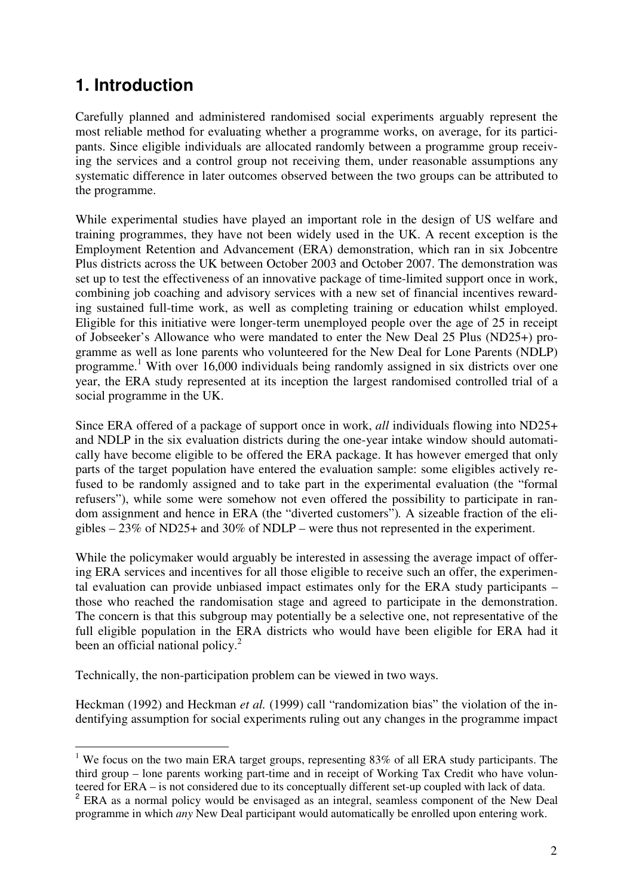# **1. Introduction**

 $\overline{a}$ 

Carefully planned and administered randomised social experiments arguably represent the most reliable method for evaluating whether a programme works, on average, for its participants. Since eligible individuals are allocated randomly between a programme group receiving the services and a control group not receiving them, under reasonable assumptions any systematic difference in later outcomes observed between the two groups can be attributed to the programme.

While experimental studies have played an important role in the design of US welfare and training programmes, they have not been widely used in the UK. A recent exception is the Employment Retention and Advancement (ERA) demonstration, which ran in six Jobcentre Plus districts across the UK between October 2003 and October 2007. The demonstration was set up to test the effectiveness of an innovative package of time-limited support once in work, combining job coaching and advisory services with a new set of financial incentives rewarding sustained full-time work, as well as completing training or education whilst employed. Eligible for this initiative were longer-term unemployed people over the age of 25 in receipt of Jobseeker's Allowance who were mandated to enter the New Deal 25 Plus (ND25+) programme as well as lone parents who volunteered for the New Deal for Lone Parents (NDLP) programme.<sup>1</sup> With over 16,000 individuals being randomly assigned in six districts over one year, the ERA study represented at its inception the largest randomised controlled trial of a social programme in the UK.

Since ERA offered of a package of support once in work, *all* individuals flowing into ND25+ and NDLP in the six evaluation districts during the one-year intake window should automatically have become eligible to be offered the ERA package. It has however emerged that only parts of the target population have entered the evaluation sample: some eligibles actively refused to be randomly assigned and to take part in the experimental evaluation (the "formal refusers"), while some were somehow not even offered the possibility to participate in random assignment and hence in ERA (the "diverted customers")*.* A sizeable fraction of the eligibles – 23% of ND25+ and 30% of NDLP – were thus not represented in the experiment.

While the policymaker would arguably be interested in assessing the average impact of offering ERA services and incentives for all those eligible to receive such an offer, the experimental evaluation can provide unbiased impact estimates only for the ERA study participants – those who reached the randomisation stage and agreed to participate in the demonstration. The concern is that this subgroup may potentially be a selective one, not representative of the full eligible population in the ERA districts who would have been eligible for ERA had it been an official national policy. $2$ 

Technically, the non-participation problem can be viewed in two ways.

Heckman (1992) and Heckman *et al.* (1999) call "randomization bias" the violation of the indentifying assumption for social experiments ruling out any changes in the programme impact

<sup>&</sup>lt;sup>1</sup> We focus on the two main ERA target groups, representing 83% of all ERA study participants. The third group – lone parents working part-time and in receipt of Working Tax Credit who have volunteered for ERA – is not considered due to its conceptually different set-up coupled with lack of data.

<sup>&</sup>lt;sup>2</sup> ERA as a normal policy would be envisaged as an integral, seamless component of the New Deal programme in which *any* New Deal participant would automatically be enrolled upon entering work.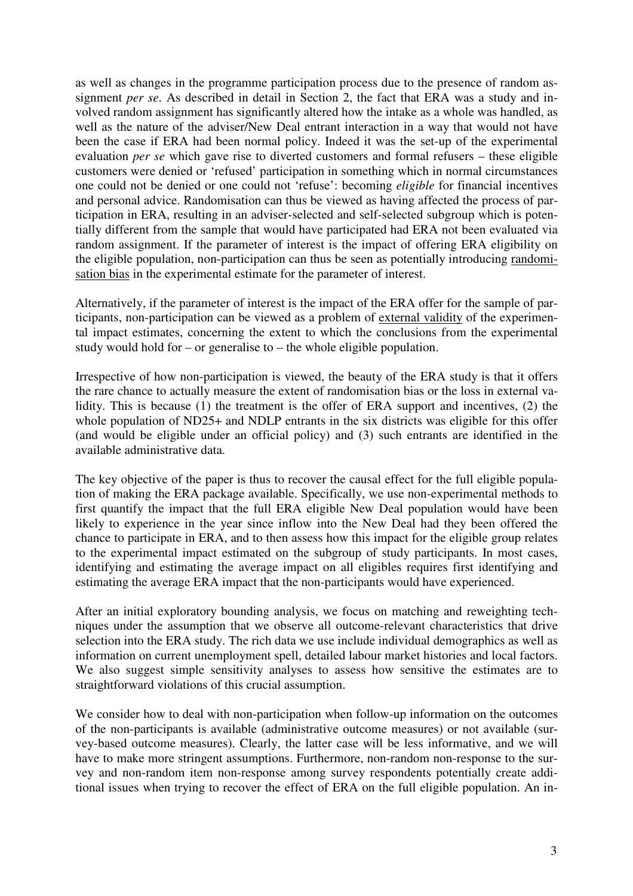as well as changes in the programme participation process due to the presence of random assignment *per se*. As described in detail in Section 2, the fact that ERA was a study and involved random assignment has significantly altered how the intake as a whole was handled, as well as the nature of the adviser/New Deal entrant interaction in a way that would not have been the case if ERA had been normal policy. Indeed it was the set-up of the experimental evaluation *per se* which gave rise to diverted customers and formal refusers – these eligible customers were denied or 'refused' participation in something which in normal circumstances one could not be denied or one could not 'refuse': becoming *eligible* for financial incentives and personal advice. Randomisation can thus be viewed as having affected the process of participation in ERA, resulting in an adviser-selected and self-selected subgroup which is potentially different from the sample that would have participated had ERA not been evaluated via random assignment. If the parameter of interest is the impact of offering ERA eligibility on the eligible population, non-participation can thus be seen as potentially introducing randomisation bias in the experimental estimate for the parameter of interest.

Alternatively, if the parameter of interest is the impact of the ERA offer for the sample of participants, non-participation can be viewed as a problem of external validity of the experimental impact estimates, concerning the extent to which the conclusions from the experimental study would hold for – or generalise to – the whole eligible population.

Irrespective of how non-participation is viewed, the beauty of the ERA study is that it offers the rare chance to actually measure the extent of randomisation bias or the loss in external validity. This is because (1) the treatment is the offer of ERA support and incentives, (2) the whole population of ND25+ and NDLP entrants in the six districts was eligible for this offer (and would be eligible under an official policy) and (3) such entrants are identified in the available administrative data.

The key objective of the paper is thus to recover the causal effect for the full eligible population of making the ERA package available. Specifically, we use non-experimental methods to first quantify the impact that the full ERA eligible New Deal population would have been likely to experience in the year since inflow into the New Deal had they been offered the chance to participate in ERA, and to then assess how this impact for the eligible group relates to the experimental impact estimated on the subgroup of study participants. In most cases, identifying and estimating the average impact on all eligibles requires first identifying and estimating the average ERA impact that the non-participants would have experienced.

After an initial exploratory bounding analysis, we focus on matching and reweighting techniques under the assumption that we observe all outcome-relevant characteristics that drive selection into the ERA study. The rich data we use include individual demographics as well as information on current unemployment spell, detailed labour market histories and local factors. We also suggest simple sensitivity analyses to assess how sensitive the estimates are to straightforward violations of this crucial assumption.

We consider how to deal with non-participation when follow-up information on the outcomes of the non-participants is available (administrative outcome measures) or not available (survey-based outcome measures). Clearly, the latter case will be less informative, and we will have to make more stringent assumptions. Furthermore, non-random non-response to the survey and non-random item non-response among survey respondents potentially create additional issues when trying to recover the effect of ERA on the full eligible population. An in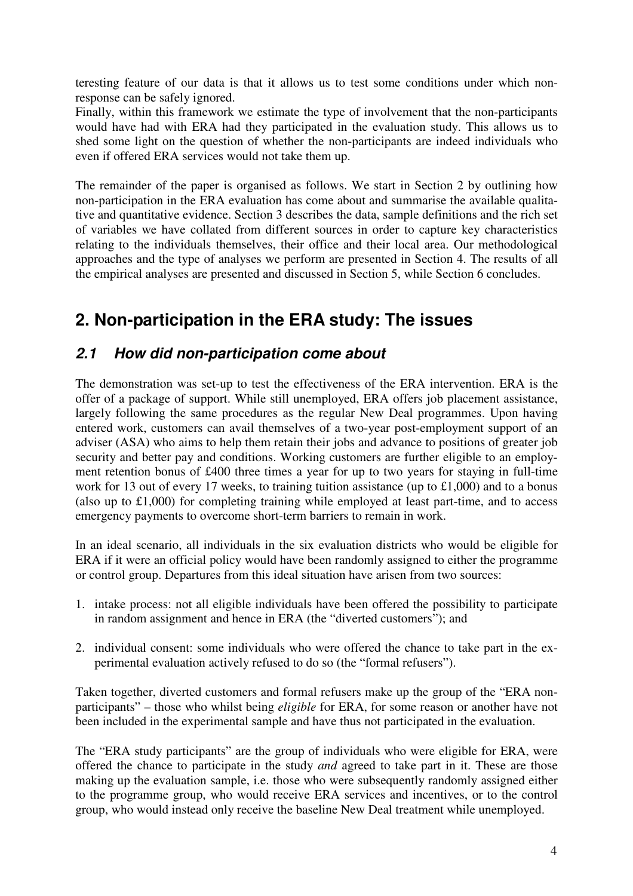teresting feature of our data is that it allows us to test some conditions under which nonresponse can be safely ignored.

Finally, within this framework we estimate the type of involvement that the non-participants would have had with ERA had they participated in the evaluation study. This allows us to shed some light on the question of whether the non-participants are indeed individuals who even if offered ERA services would not take them up.

The remainder of the paper is organised as follows. We start in Section 2 by outlining how non-participation in the ERA evaluation has come about and summarise the available qualitative and quantitative evidence. Section 3 describes the data, sample definitions and the rich set of variables we have collated from different sources in order to capture key characteristics relating to the individuals themselves, their office and their local area. Our methodological approaches and the type of analyses we perform are presented in Section 4. The results of all the empirical analyses are presented and discussed in Section 5, while Section 6 concludes.

# **2. Non-participation in the ERA study: The issues**

### **2.1 How did non-participation come about**

The demonstration was set-up to test the effectiveness of the ERA intervention. ERA is the offer of a package of support. While still unemployed, ERA offers job placement assistance, largely following the same procedures as the regular New Deal programmes. Upon having entered work, customers can avail themselves of a two-year post-employment support of an adviser (ASA) who aims to help them retain their jobs and advance to positions of greater job security and better pay and conditions. Working customers are further eligible to an employment retention bonus of £400 three times a year for up to two years for staying in full-time work for 13 out of every 17 weeks, to training tuition assistance (up to £1,000) and to a bonus (also up to £1,000) for completing training while employed at least part-time, and to access emergency payments to overcome short-term barriers to remain in work.

In an ideal scenario, all individuals in the six evaluation districts who would be eligible for ERA if it were an official policy would have been randomly assigned to either the programme or control group. Departures from this ideal situation have arisen from two sources:

- 1. intake process: not all eligible individuals have been offered the possibility to participate in random assignment and hence in ERA (the "diverted customers"); and
- 2. individual consent: some individuals who were offered the chance to take part in the experimental evaluation actively refused to do so (the "formal refusers").

Taken together, diverted customers and formal refusers make up the group of the "ERA nonparticipants" – those who whilst being *eligible* for ERA, for some reason or another have not been included in the experimental sample and have thus not participated in the evaluation.

The "ERA study participants" are the group of individuals who were eligible for ERA, were offered the chance to participate in the study *and* agreed to take part in it. These are those making up the evaluation sample, i.e. those who were subsequently randomly assigned either to the programme group, who would receive ERA services and incentives, or to the control group, who would instead only receive the baseline New Deal treatment while unemployed.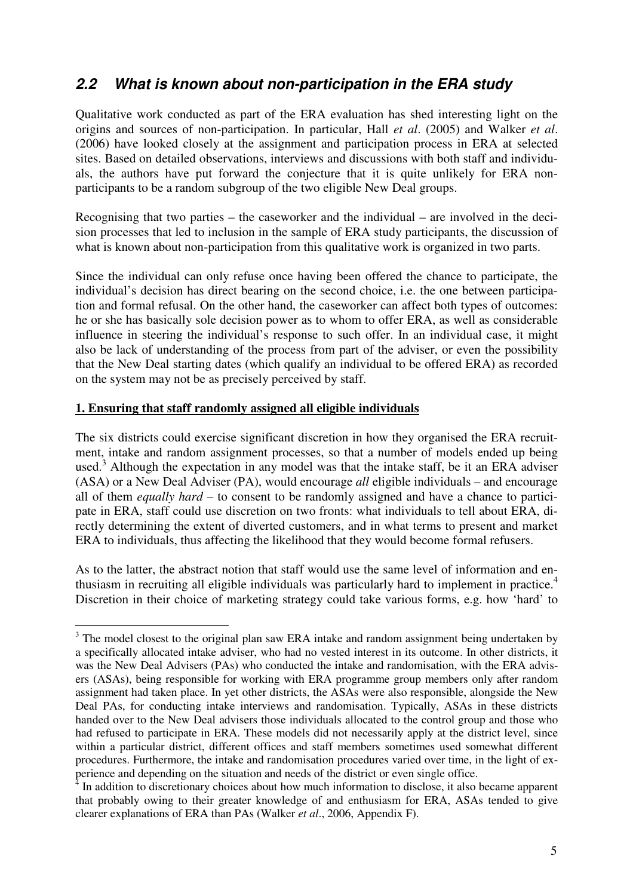### **2.2 What is known about non-participation in the ERA study**

Qualitative work conducted as part of the ERA evaluation has shed interesting light on the origins and sources of non-participation. In particular, Hall *et al*. (2005) and Walker *et al*. (2006) have looked closely at the assignment and participation process in ERA at selected sites. Based on detailed observations, interviews and discussions with both staff and individuals, the authors have put forward the conjecture that it is quite unlikely for ERA nonparticipants to be a random subgroup of the two eligible New Deal groups.

Recognising that two parties – the caseworker and the individual – are involved in the decision processes that led to inclusion in the sample of ERA study participants, the discussion of what is known about non-participation from this qualitative work is organized in two parts.

Since the individual can only refuse once having been offered the chance to participate, the individual's decision has direct bearing on the second choice, i.e. the one between participation and formal refusal. On the other hand, the caseworker can affect both types of outcomes: he or she has basically sole decision power as to whom to offer ERA, as well as considerable influence in steering the individual's response to such offer. In an individual case, it might also be lack of understanding of the process from part of the adviser, or even the possibility that the New Deal starting dates (which qualify an individual to be offered ERA) as recorded on the system may not be as precisely perceived by staff.

#### **1. Ensuring that staff randomly assigned all eligible individuals**

 $\overline{a}$ 

The six districts could exercise significant discretion in how they organised the ERA recruitment, intake and random assignment processes, so that a number of models ended up being used.<sup>3</sup> Although the expectation in any model was that the intake staff, be it an ERA adviser (ASA) or a New Deal Adviser (PA), would encourage *all* eligible individuals – and encourage all of them *equally hard* – to consent to be randomly assigned and have a chance to participate in ERA, staff could use discretion on two fronts: what individuals to tell about ERA, directly determining the extent of diverted customers, and in what terms to present and market ERA to individuals, thus affecting the likelihood that they would become formal refusers.

As to the latter, the abstract notion that staff would use the same level of information and enthusiasm in recruiting all eligible individuals was particularly hard to implement in practice.<sup>4</sup> Discretion in their choice of marketing strategy could take various forms, e.g. how 'hard' to

 $3$  The model closest to the original plan saw ERA intake and random assignment being undertaken by a specifically allocated intake adviser, who had no vested interest in its outcome. In other districts, it was the New Deal Advisers (PAs) who conducted the intake and randomisation, with the ERA advisers (ASAs), being responsible for working with ERA programme group members only after random assignment had taken place. In yet other districts, the ASAs were also responsible, alongside the New Deal PAs, for conducting intake interviews and randomisation. Typically, ASAs in these districts handed over to the New Deal advisers those individuals allocated to the control group and those who had refused to participate in ERA. These models did not necessarily apply at the district level, since within a particular district, different offices and staff members sometimes used somewhat different procedures. Furthermore, the intake and randomisation procedures varied over time, in the light of experience and depending on the situation and needs of the district or even single office.

 $\frac{4}{4}$  In addition to discretionary choices about how much information to disclose, it also became apparent that probably owing to their greater knowledge of and enthusiasm for ERA, ASAs tended to give clearer explanations of ERA than PAs (Walker *et al*., 2006, Appendix F).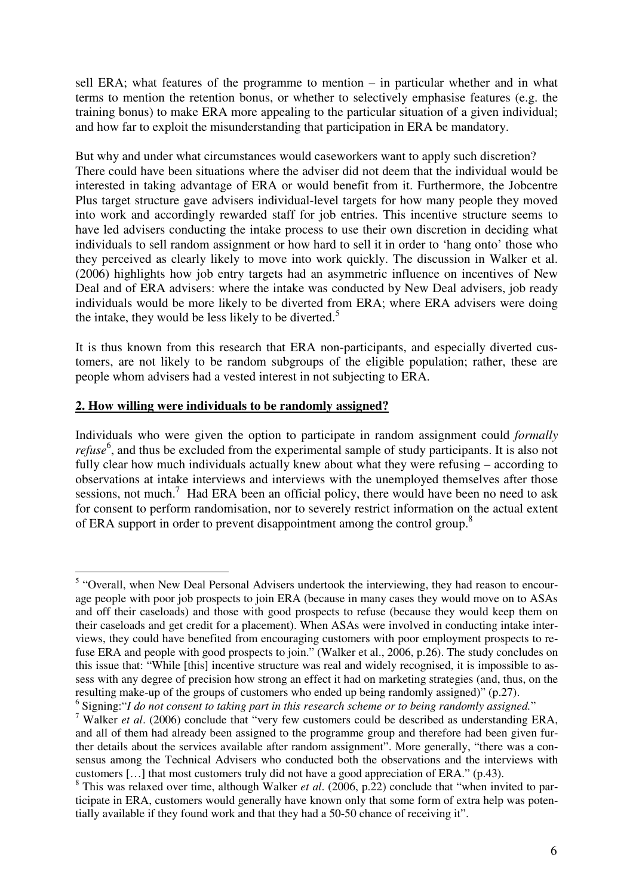sell ERA; what features of the programme to mention – in particular whether and in what terms to mention the retention bonus, or whether to selectively emphasise features (e.g. the training bonus) to make ERA more appealing to the particular situation of a given individual; and how far to exploit the misunderstanding that participation in ERA be mandatory.

But why and under what circumstances would caseworkers want to apply such discretion? There could have been situations where the adviser did not deem that the individual would be interested in taking advantage of ERA or would benefit from it. Furthermore, the Jobcentre Plus target structure gave advisers individual-level targets for how many people they moved into work and accordingly rewarded staff for job entries. This incentive structure seems to have led advisers conducting the intake process to use their own discretion in deciding what individuals to sell random assignment or how hard to sell it in order to 'hang onto' those who they perceived as clearly likely to move into work quickly. The discussion in Walker et al. (2006) highlights how job entry targets had an asymmetric influence on incentives of New Deal and of ERA advisers: where the intake was conducted by New Deal advisers, job ready individuals would be more likely to be diverted from ERA; where ERA advisers were doing the intake, they would be less likely to be diverted.<sup>5</sup>

It is thus known from this research that ERA non-participants, and especially diverted customers, are not likely to be random subgroups of the eligible population; rather, these are people whom advisers had a vested interest in not subjecting to ERA.

#### **2. How willing were individuals to be randomly assigned?**

Individuals who were given the option to participate in random assignment could *formally*  refuse<sup>6</sup>, and thus be excluded from the experimental sample of study participants. It is also not fully clear how much individuals actually knew about what they were refusing – according to observations at intake interviews and interviews with the unemployed themselves after those sessions, not much.<sup>7</sup> Had ERA been an official policy, there would have been no need to ask for consent to perform randomisation, nor to severely restrict information on the actual extent of ERA support in order to prevent disappointment among the control group.<sup>8</sup>

 $\overline{a}$ <sup>5</sup> "Overall, when New Deal Personal Advisers undertook the interviewing, they had reason to encourage people with poor job prospects to join ERA (because in many cases they would move on to ASAs and off their caseloads) and those with good prospects to refuse (because they would keep them on their caseloads and get credit for a placement). When ASAs were involved in conducting intake interviews, they could have benefited from encouraging customers with poor employment prospects to refuse ERA and people with good prospects to join." (Walker et al., 2006, p.26). The study concludes on this issue that: "While [this] incentive structure was real and widely recognised, it is impossible to assess with any degree of precision how strong an effect it had on marketing strategies (and, thus, on the resulting make-up of the groups of customers who ended up being randomly assigned)" (p.27).

<sup>6</sup> Signing:"*I do not consent to taking part in this research scheme or to being randomly assigned.*"

<sup>7</sup> Walker *et al*. (2006) conclude that "very few customers could be described as understanding ERA, and all of them had already been assigned to the programme group and therefore had been given further details about the services available after random assignment". More generally, "there was a consensus among the Technical Advisers who conducted both the observations and the interviews with customers […] that most customers truly did not have a good appreciation of ERA." (p.43).

<sup>&</sup>lt;sup>8</sup> This was relaxed over time, although Walker *et al.* (2006, p.22) conclude that "when invited to participate in ERA, customers would generally have known only that some form of extra help was potentially available if they found work and that they had a 50-50 chance of receiving it".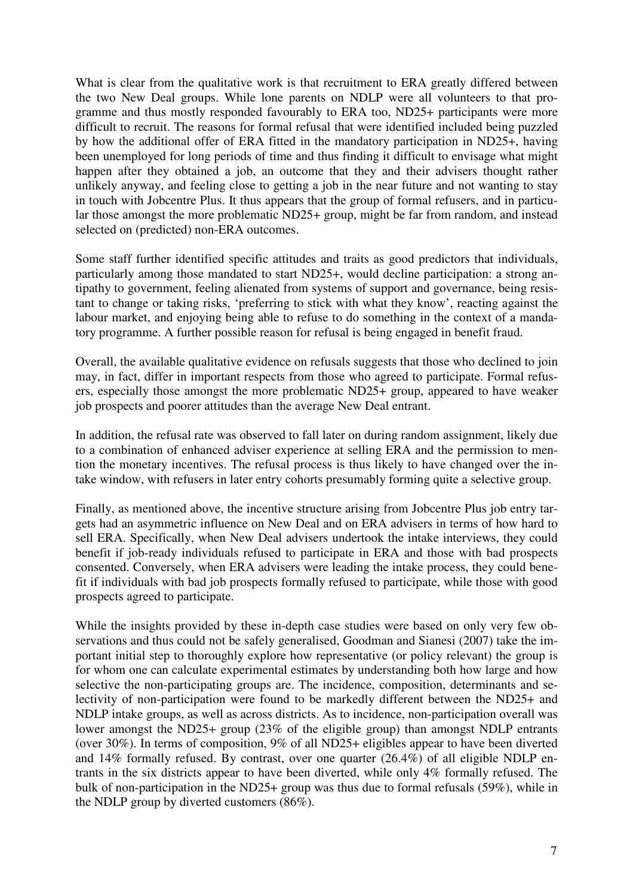What is clear from the qualitative work is that recruitment to ERA greatly differed between the two New Deal groups. While lone parents on NDLP were all volunteers to that programme and thus mostly responded favourably to ERA too, ND25+ participants were more difficult to recruit. The reasons for formal refusal that were identified included being puzzled by how the additional offer of ERA fitted in the mandatory participation in ND25+, having been unemployed for long periods of time and thus finding it difficult to envisage what might happen after they obtained a job, an outcome that they and their advisers thought rather unlikely anyway, and feeling close to getting a job in the near future and not wanting to stay in touch with Jobcentre Plus. It thus appears that the group of formal refusers, and in particular those amongst the more problematic ND25+ group, might be far from random, and instead selected on (predicted) non-ERA outcomes.

Some staff further identified specific attitudes and traits as good predictors that individuals, particularly among those mandated to start ND25+, would decline participation: a strong antipathy to government, feeling alienated from systems of support and governance, being resistant to change or taking risks, 'preferring to stick with what they know', reacting against the labour market, and enjoying being able to refuse to do something in the context of a mandatory programme. A further possible reason for refusal is being engaged in benefit fraud.

Overall, the available qualitative evidence on refusals suggests that those who declined to join may, in fact, differ in important respects from those who agreed to participate. Formal refusers, especially those amongst the more problematic ND25+ group, appeared to have weaker job prospects and poorer attitudes than the average New Deal entrant.

In addition, the refusal rate was observed to fall later on during random assignment, likely due to a combination of enhanced adviser experience at selling ERA and the permission to mention the monetary incentives. The refusal process is thus likely to have changed over the intake window, with refusers in later entry cohorts presumably forming quite a selective group.

Finally, as mentioned above, the incentive structure arising from Jobcentre Plus job entry targets had an asymmetric influence on New Deal and on ERA advisers in terms of how hard to sell ERA. Specifically, when New Deal advisers undertook the intake interviews, they could benefit if job-ready individuals refused to participate in ERA and those with bad prospects consented. Conversely, when ERA advisers were leading the intake process, they could benefit if individuals with bad job prospects formally refused to participate, while those with good prospects agreed to participate.

While the insights provided by these in-depth case studies were based on only very few observations and thus could not be safely generalised, Goodman and Sianesi (2007) take the important initial step to thoroughly explore how representative (or policy relevant) the group is for whom one can calculate experimental estimates by understanding both how large and how selective the non-participating groups are. The incidence, composition, determinants and selectivity of non-participation were found to be markedly different between the ND25+ and NDLP intake groups, as well as across districts. As to incidence, non-participation overall was lower amongst the ND25+ group (23% of the eligible group) than amongst NDLP entrants (over 30%). In terms of composition, 9% of all ND25+ eligibles appear to have been diverted and 14% formally refused. By contrast, over one quarter (26.4%) of all eligible NDLP entrants in the six districts appear to have been diverted, while only 4% formally refused. The bulk of non-participation in the ND25+ group was thus due to formal refusals (59%), while in the NDLP group by diverted customers (86%).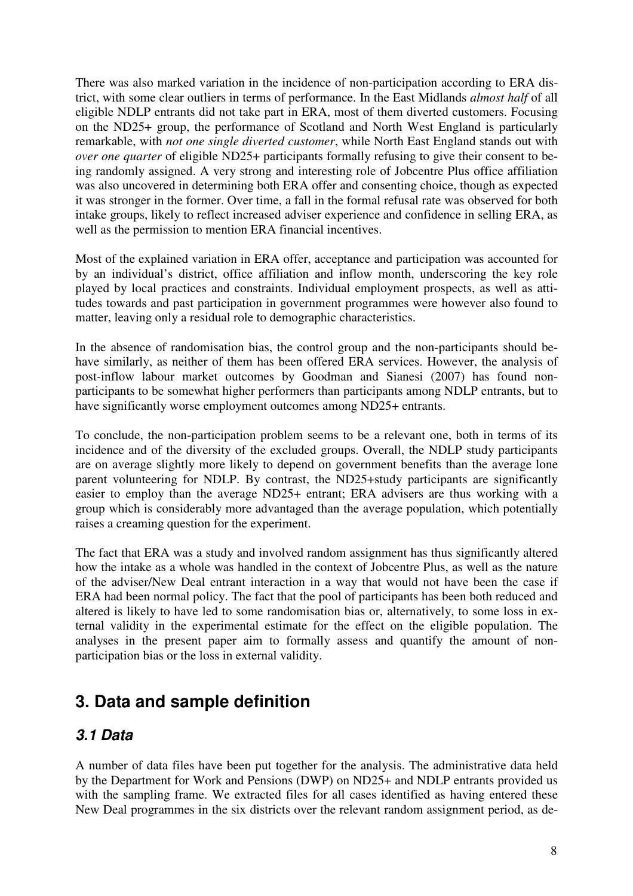There was also marked variation in the incidence of non-participation according to ERA district, with some clear outliers in terms of performance. In the East Midlands *almost half* of all eligible NDLP entrants did not take part in ERA, most of them diverted customers. Focusing on the ND25+ group, the performance of Scotland and North West England is particularly remarkable, with *not one single diverted customer*, while North East England stands out with *over one quarter* of eligible ND25+ participants formally refusing to give their consent to being randomly assigned. A very strong and interesting role of Jobcentre Plus office affiliation was also uncovered in determining both ERA offer and consenting choice, though as expected it was stronger in the former. Over time, a fall in the formal refusal rate was observed for both intake groups, likely to reflect increased adviser experience and confidence in selling ERA, as well as the permission to mention ERA financial incentives.

Most of the explained variation in ERA offer, acceptance and participation was accounted for by an individual's district, office affiliation and inflow month, underscoring the key role played by local practices and constraints. Individual employment prospects, as well as attitudes towards and past participation in government programmes were however also found to matter, leaving only a residual role to demographic characteristics.

In the absence of randomisation bias, the control group and the non-participants should behave similarly, as neither of them has been offered ERA services. However, the analysis of post-inflow labour market outcomes by Goodman and Sianesi (2007) has found nonparticipants to be somewhat higher performers than participants among NDLP entrants, but to have significantly worse employment outcomes among ND25+ entrants.

To conclude, the non-participation problem seems to be a relevant one, both in terms of its incidence and of the diversity of the excluded groups. Overall, the NDLP study participants are on average slightly more likely to depend on government benefits than the average lone parent volunteering for NDLP. By contrast, the ND25+study participants are significantly easier to employ than the average ND25+ entrant; ERA advisers are thus working with a group which is considerably more advantaged than the average population, which potentially raises a creaming question for the experiment.

The fact that ERA was a study and involved random assignment has thus significantly altered how the intake as a whole was handled in the context of Jobcentre Plus, as well as the nature of the adviser/New Deal entrant interaction in a way that would not have been the case if ERA had been normal policy. The fact that the pool of participants has been both reduced and altered is likely to have led to some randomisation bias or, alternatively, to some loss in external validity in the experimental estimate for the effect on the eligible population. The analyses in the present paper aim to formally assess and quantify the amount of nonparticipation bias or the loss in external validity.

## **3. Data and sample definition**

### **3.1 Data**

A number of data files have been put together for the analysis. The administrative data held by the Department for Work and Pensions (DWP) on ND25+ and NDLP entrants provided us with the sampling frame. We extracted files for all cases identified as having entered these New Deal programmes in the six districts over the relevant random assignment period, as de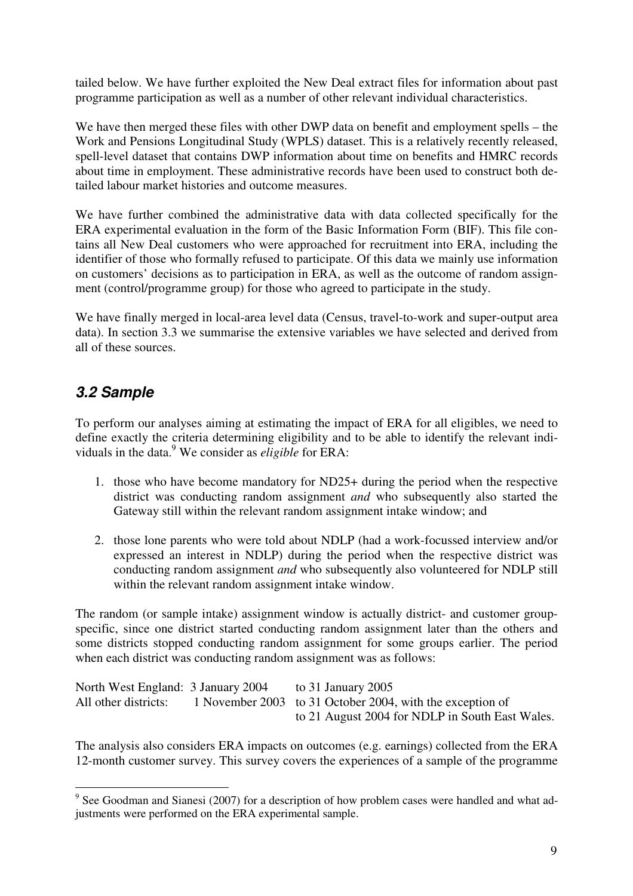tailed below. We have further exploited the New Deal extract files for information about past programme participation as well as a number of other relevant individual characteristics.

We have then merged these files with other DWP data on benefit and employment spells – the Work and Pensions Longitudinal Study (WPLS) dataset. This is a relatively recently released, spell-level dataset that contains DWP information about time on benefits and HMRC records about time in employment. These administrative records have been used to construct both detailed labour market histories and outcome measures.

We have further combined the administrative data with data collected specifically for the ERA experimental evaluation in the form of the Basic Information Form (BIF). This file contains all New Deal customers who were approached for recruitment into ERA, including the identifier of those who formally refused to participate. Of this data we mainly use information on customers' decisions as to participation in ERA, as well as the outcome of random assignment (control/programme group) for those who agreed to participate in the study.

We have finally merged in local-area level data (Census, travel-to-work and super-output area data). In section 3.3 we summarise the extensive variables we have selected and derived from all of these sources.

### **3.2 Sample**

To perform our analyses aiming at estimating the impact of ERA for all eligibles, we need to define exactly the criteria determining eligibility and to be able to identify the relevant individuals in the data.<sup>9</sup> We consider as *eligible* for ERA:

- 1. those who have become mandatory for ND25+ during the period when the respective district was conducting random assignment *and* who subsequently also started the Gateway still within the relevant random assignment intake window; and
- 2. those lone parents who were told about NDLP (had a work-focussed interview and/or expressed an interest in NDLP) during the period when the respective district was conducting random assignment *and* who subsequently also volunteered for NDLP still within the relevant random assignment intake window.

The random (or sample intake) assignment window is actually district- and customer groupspecific, since one district started conducting random assignment later than the others and some districts stopped conducting random assignment for some groups earlier. The period when each district was conducting random assignment was as follows:

North West England: 3 January 2004 to 31 January 2005 All other districts: 1 November 2003 to 31 October 2004, with the exception of to 21 August 2004 for NDLP in South East Wales.

The analysis also considers ERA impacts on outcomes (e.g. earnings) collected from the ERA 12-month customer survey. This survey covers the experiences of a sample of the programme

<sup>&</sup>lt;sup>9</sup> See Goodman and Sianesi (2007) for a description of how problem cases were handled and what adjustments were performed on the ERA experimental sample.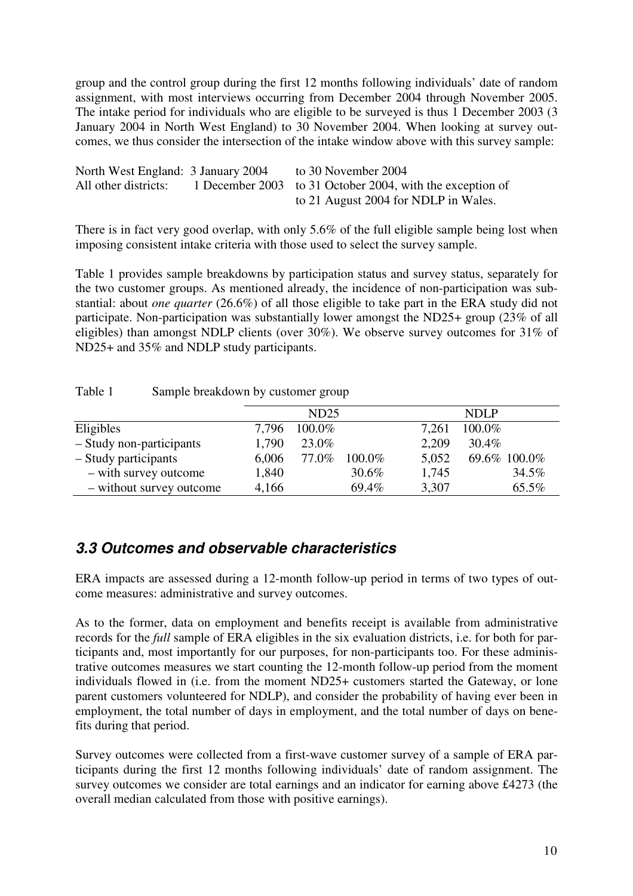group and the control group during the first 12 months following individuals' date of random assignment, with most interviews occurring from December 2004 through November 2005. The intake period for individuals who are eligible to be surveyed is thus 1 December 2003 (3 January 2004 in North West England) to 30 November 2004. When looking at survey outcomes, we thus consider the intersection of the intake window above with this survey sample:

| North West England: 3 January 2004 | to 30 November 2004                                       |
|------------------------------------|-----------------------------------------------------------|
| All other districts:               | 1 December 2003 to 31 October 2004, with the exception of |
|                                    | to 21 August 2004 for NDLP in Wales.                      |

There is in fact very good overlap, with only 5.6% of the full eligible sample being lost when imposing consistent intake criteria with those used to select the survey sample.

Table 1 provides sample breakdowns by participation status and survey status, separately for the two customer groups. As mentioned already, the incidence of non-participation was substantial: about *one quarter* (26.6%) of all those eligible to take part in the ERA study did not participate. Non-participation was substantially lower amongst the ND25+ group (23% of all eligibles) than amongst NDLP clients (over 30%). We observe survey outcomes for 31% of ND25+ and 35% and NDLP study participants.

Table 1 Sample breakdown by customer group

|                          |       | ND25   |        |       | NDLP         |
|--------------------------|-------|--------|--------|-------|--------------|
| Eligibles                | 7,796 | 100.0% |        | 7,261 | 100.0%       |
| - Study non-participants | 1,790 | 23.0%  |        | 2,209 | 30.4%        |
| - Study participants     | 6,006 | 77.0%  | 100.0% | 5,052 | 69.6% 100.0% |
| - with survey outcome    | 1,840 |        | 30.6%  | 1,745 | 34.5%        |
| - without survey outcome | 4,166 |        | 69.4%  | 3,307 | 65.5%        |

### **3.3 Outcomes and observable characteristics**

ERA impacts are assessed during a 12-month follow-up period in terms of two types of outcome measures: administrative and survey outcomes.

As to the former, data on employment and benefits receipt is available from administrative records for the *full* sample of ERA eligibles in the six evaluation districts, i.e. for both for participants and, most importantly for our purposes, for non-participants too. For these administrative outcomes measures we start counting the 12-month follow-up period from the moment individuals flowed in (i.e. from the moment ND25+ customers started the Gateway, or lone parent customers volunteered for NDLP), and consider the probability of having ever been in employment, the total number of days in employment, and the total number of days on benefits during that period.

Survey outcomes were collected from a first-wave customer survey of a sample of ERA participants during the first 12 months following individuals' date of random assignment. The survey outcomes we consider are total earnings and an indicator for earning above £4273 (the overall median calculated from those with positive earnings).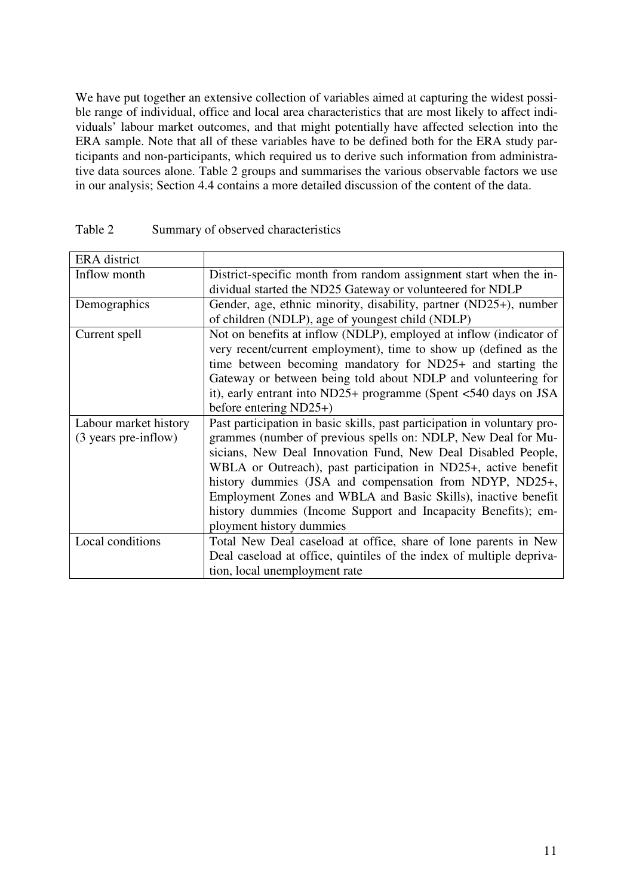We have put together an extensive collection of variables aimed at capturing the widest possible range of individual, office and local area characteristics that are most likely to affect individuals' labour market outcomes, and that might potentially have affected selection into the ERA sample. Note that all of these variables have to be defined both for the ERA study participants and non-participants, which required us to derive such information from administrative data sources alone. Table 2 groups and summarises the various observable factors we use in our analysis; Section 4.4 contains a more detailed discussion of the content of the data.

| <b>ERA</b> district   |                                                                          |
|-----------------------|--------------------------------------------------------------------------|
| Inflow month          | District-specific month from random assignment start when the in-        |
|                       | dividual started the ND25 Gateway or volunteered for NDLP                |
| Demographics          | Gender, age, ethnic minority, disability, partner (ND25+), number        |
|                       | of children (NDLP), age of youngest child (NDLP)                         |
| Current spell         | Not on benefits at inflow (NDLP), employed at inflow (indicator of       |
|                       | very recent/current employment), time to show up (defined as the         |
|                       | time between becoming mandatory for ND25+ and starting the               |
|                       | Gateway or between being told about NDLP and volunteering for            |
|                       | it), early entrant into ND25+ programme (Spent $<540$ days on JSA        |
|                       | before entering $ND25+$                                                  |
| Labour market history | Past participation in basic skills, past participation in voluntary pro- |
| (3 years pre-inflow)  | grammes (number of previous spells on: NDLP, New Deal for Mu-            |
|                       | sicians, New Deal Innovation Fund, New Deal Disabled People,             |
|                       | WBLA or Outreach), past participation in ND25+, active benefit           |
|                       | history dummies (JSA and compensation from NDYP, ND25+,                  |
|                       | Employment Zones and WBLA and Basic Skills), inactive benefit            |
|                       | history dummies (Income Support and Incapacity Benefits); em-            |
|                       | ployment history dummies                                                 |
| Local conditions      | Total New Deal caseload at office, share of lone parents in New          |
|                       | Deal caseload at office, quintiles of the index of multiple depriva-     |
|                       | tion, local unemployment rate                                            |

| Table 2 | Summary of observed characteristics |
|---------|-------------------------------------|
|---------|-------------------------------------|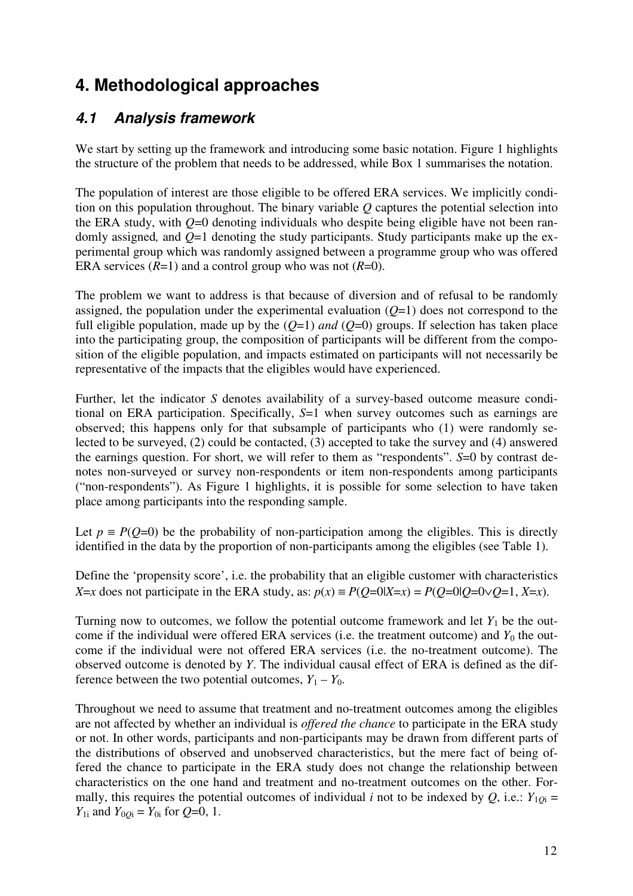# **4. Methodological approaches**

### **4.1 Analysis framework**

We start by setting up the framework and introducing some basic notation. Figure 1 highlights the structure of the problem that needs to be addressed, while Box 1 summarises the notation.

The population of interest are those eligible to be offered ERA services. We implicitly condition on this population throughout. The binary variable *Q* captures the potential selection into the ERA study, with  $Q=0$  denoting individuals who despite being eligible have not been randomly assigned*,* and *Q*=1 denoting the study participants. Study participants make up the experimental group which was randomly assigned between a programme group who was offered ERA services  $(R=1)$  and a control group who was not  $(R=0)$ .

The problem we want to address is that because of diversion and of refusal to be randomly assigned, the population under the experimental evaluation  $(O=1)$  does not correspond to the full eligible population, made up by the  $(Q=1)$  *and*  $(Q=0)$  groups. If selection has taken place into the participating group, the composition of participants will be different from the composition of the eligible population, and impacts estimated on participants will not necessarily be representative of the impacts that the eligibles would have experienced.

Further, let the indicator *S* denotes availability of a survey-based outcome measure conditional on ERA participation. Specifically, *S*=1 when survey outcomes such as earnings are observed; this happens only for that subsample of participants who (1) were randomly selected to be surveyed, (2) could be contacted, (3) accepted to take the survey and (4) answered the earnings question. For short, we will refer to them as "respondents". *S*=0 by contrast denotes non-surveyed or survey non-respondents or item non-respondents among participants ("non-respondents"). As Figure 1 highlights, it is possible for some selection to have taken place among participants into the responding sample.

Let  $p \equiv P(Q=0)$  be the probability of non-participation among the eligibles. This is directly identified in the data by the proportion of non-participants among the eligibles (see Table 1).

Define the 'propensity score', i.e. the probability that an eligible customer with characteristics *X*=*x* does not participate in the ERA study, as:  $p(x) \equiv P(Q=0|X=x) = P(Q=0|Q=0\vee Q=1, X=x)$ .

Turning now to outcomes, we follow the potential outcome framework and let  $Y_1$  be the outcome if the individual were offered ERA services (i.e. the treatment outcome) and  $Y_0$  the outcome if the individual were not offered ERA services (i.e. the no-treatment outcome). The observed outcome is denoted by *Y*. The individual causal effect of ERA is defined as the difference between the two potential outcomes,  $Y_1 - Y_0$ .

Throughout we need to assume that treatment and no-treatment outcomes among the eligibles are not affected by whether an individual is *offered the chance* to participate in the ERA study or not. In other words, participants and non-participants may be drawn from different parts of the distributions of observed and unobserved characteristics, but the mere fact of being offered the chance to participate in the ERA study does not change the relationship between characteristics on the one hand and treatment and no-treatment outcomes on the other. Formally, this requires the potential outcomes of individual *i* not to be indexed by *Q*, i.e.:  $Y_{1Qi} =$ *Y*<sub>1i</sub> and *Y*<sub>0*Q*i</sub> = *Y*<sub>0i</sub> for *Q*=0, 1.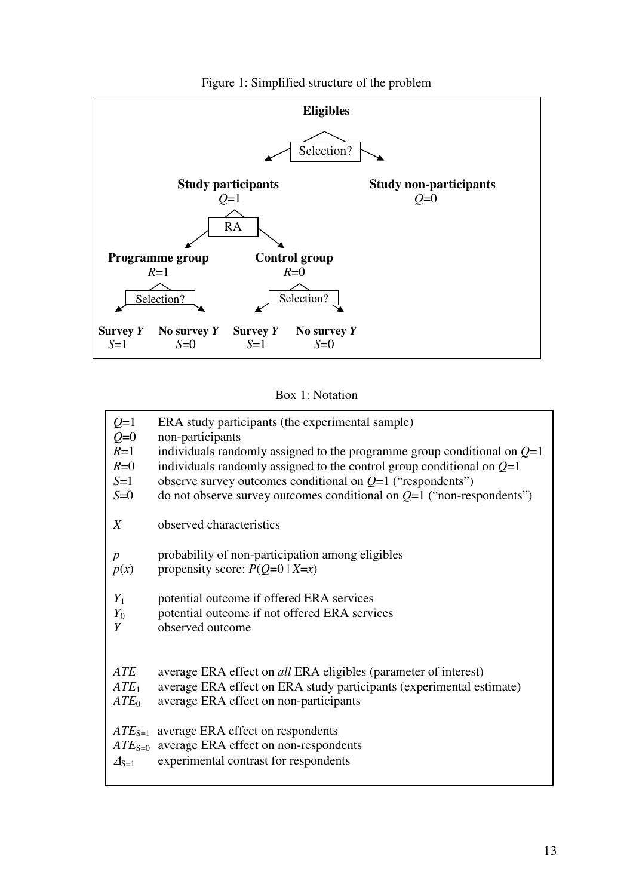

#### Figure 1: Simplified structure of the problem

#### Box 1: Notation

| ERA study participants (the experimental sample)<br>non-participants<br>individuals randomly assigned to the programme group conditional on $Q=1$<br>individuals randomly assigned to the control group conditional on $Q=1$<br>observe survey outcomes conditional on $Q=1$ ("respondents")<br>do not observe survey outcomes conditional on $Q=1$ ("non-respondents") |
|-------------------------------------------------------------------------------------------------------------------------------------------------------------------------------------------------------------------------------------------------------------------------------------------------------------------------------------------------------------------------|
| observed characteristics                                                                                                                                                                                                                                                                                                                                                |
| probability of non-participation among eligibles<br>propensity score: $P(Q=0   X=x)$                                                                                                                                                                                                                                                                                    |
| potential outcome if offered ERA services<br>potential outcome if not offered ERA services<br>observed outcome                                                                                                                                                                                                                                                          |
| average ERA effect on all ERA eligibles (parameter of interest)<br>average ERA effect on ERA study participants (experimental estimate)<br>average ERA effect on non-participants                                                                                                                                                                                       |
| $ATE_{S=1}$ average ERA effect on respondents<br>$ATE_{S=0}$ average ERA effect on non-respondents<br>experimental contrast for respondents                                                                                                                                                                                                                             |
|                                                                                                                                                                                                                                                                                                                                                                         |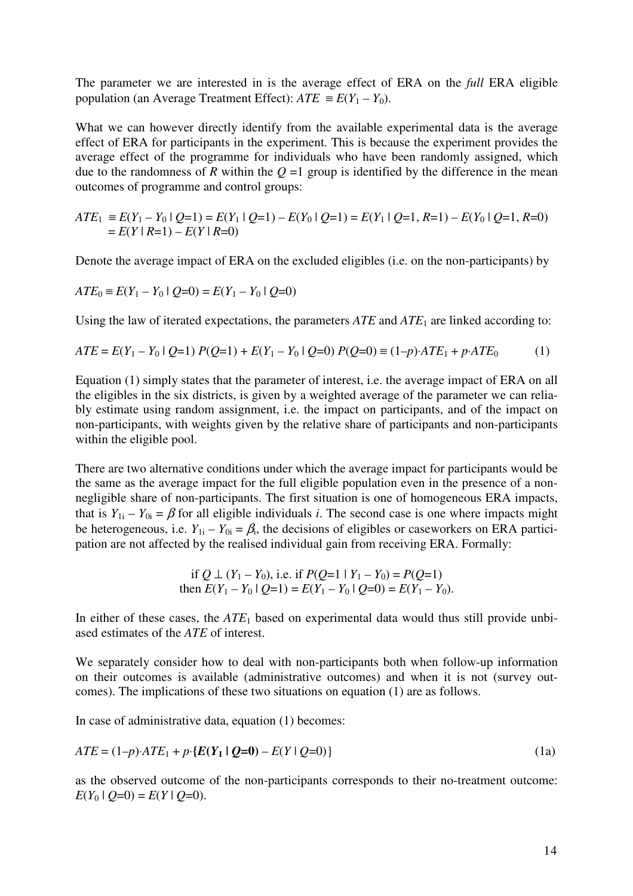The parameter we are interested in is the average effect of ERA on the *full* ERA eligible population (an Average Treatment Effect):  $ATE \equiv E(Y_1 - Y_0)$ .

What we can however directly identify from the available experimental data is the average effect of ERA for participants in the experiment. This is because the experiment provides the average effect of the programme for individuals who have been randomly assigned, which due to the randomness of *R* within the  $Q = 1$  group is identified by the difference in the mean outcomes of programme and control groups:

$$
ATE_1 \equiv E(Y_1 - Y_0 | Q=1) = E(Y_1 | Q=1) - E(Y_0 | Q=1) = E(Y_1 | Q=1, R=1) - E(Y_0 | Q=1, R=0)
$$
  
=  $E(Y | R=1) - E(Y | R=0)$ 

Denote the average impact of ERA on the excluded eligibles (i.e. on the non-participants) by

$$
ATE_0 \equiv E(Y_1 - Y_0 \mid Q=0) = E(Y_1 - Y_0 \mid Q=0)
$$

Using the law of iterated expectations, the parameters *ATE* and *ATE*1 are linked according to:

$$
ATE = E(Y_1 - Y_0 | Q=1) P(Q=1) + E(Y_1 - Y_0 | Q=0) P(Q=0) \equiv (1-p) \cdot ATE_1 + p \cdot ATE_0 \tag{1}
$$

Equation (1) simply states that the parameter of interest, i.e. the average impact of ERA on all the eligibles in the six districts, is given by a weighted average of the parameter we can reliably estimate using random assignment, i.e. the impact on participants, and of the impact on non-participants, with weights given by the relative share of participants and non-participants within the eligible pool.

There are two alternative conditions under which the average impact for participants would be the same as the average impact for the full eligible population even in the presence of a nonnegligible share of non-participants. The first situation is one of homogeneous ERA impacts, that is  $Y_{1i} - Y_{0i} = \beta$  for all eligible individuals *i*. The second case is one where impacts might be heterogeneous, i.e.  $Y_{1i} - Y_{0i} = \beta_i$ , the decisions of eligibles or caseworkers on ERA participation are not affected by the realised individual gain from receiving ERA. Formally:

if 
$$
Q \perp (Y_1 - Y_0)
$$
, i.e. if  $P(Q=1 | Y_1 - Y_0) = P(Q=1)$   
then  $E(Y_1 - Y_0 | Q=1) = E(Y_1 - Y_0 | Q=0) = E(Y_1 - Y_0)$ .

In either of these cases, the *ATE*1 based on experimental data would thus still provide unbiased estimates of the *ATE* of interest.

We separately consider how to deal with non-participants both when follow-up information on their outcomes is available (administrative outcomes) and when it is not (survey outcomes). The implications of these two situations on equation (1) are as follows.

In case of administrative data, equation (1) becomes:

$$
ATE = (1 - p) \cdot ATE_1 + p \cdot \{E(Y_1 \mid Q = 0) - E(Y \mid Q = 0)\}\tag{1a}
$$

as the observed outcome of the non-participants corresponds to their no-treatment outcome:  $E(Y_0 | Q=0) = E(Y | Q=0).$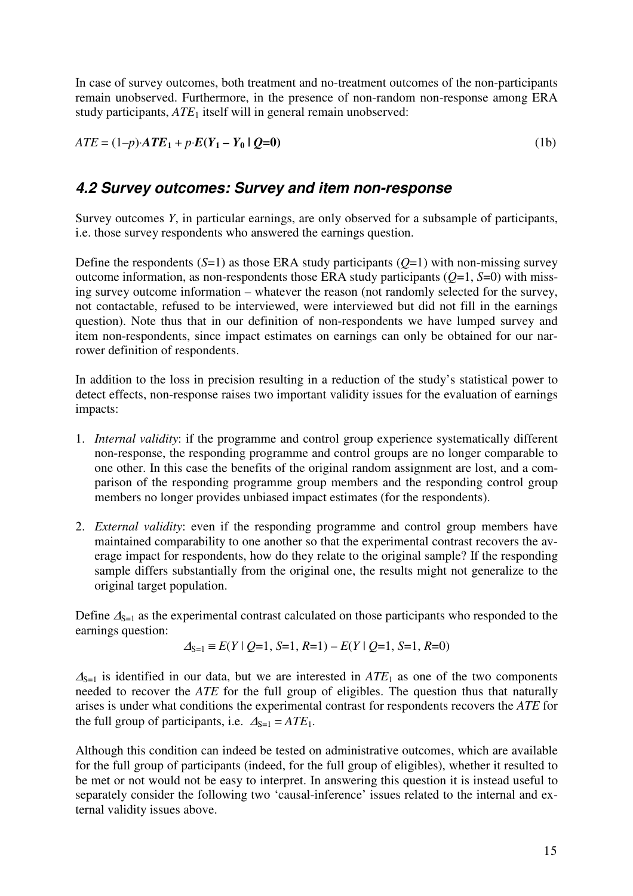In case of survey outcomes, both treatment and no-treatment outcomes of the non-participants remain unobserved. Furthermore, in the presence of non-random non-response among ERA study participants,  $ATE<sub>1</sub>$  itself will in general remain unobserved:

 $ATE = (1-p) \cdot ATE_1 + p \cdot E(Y_1 - Y_0 | Q=0)$  (1b)

### **4.2 Survey outcomes: Survey and item non-response**

Survey outcomes *Y*, in particular earnings, are only observed for a subsample of participants, i.e. those survey respondents who answered the earnings question.

Define the respondents  $(S=1)$  as those ERA study participants  $(Q=1)$  with non-missing survey outcome information, as non-respondents those ERA study participants (*Q*=1, *S*=0) with missing survey outcome information – whatever the reason (not randomly selected for the survey, not contactable, refused to be interviewed, were interviewed but did not fill in the earnings question). Note thus that in our definition of non-respondents we have lumped survey and item non-respondents, since impact estimates on earnings can only be obtained for our narrower definition of respondents.

In addition to the loss in precision resulting in a reduction of the study's statistical power to detect effects, non-response raises two important validity issues for the evaluation of earnings impacts:

- 1. *Internal validity*: if the programme and control group experience systematically different non-response, the responding programme and control groups are no longer comparable to one other. In this case the benefits of the original random assignment are lost, and a comparison of the responding programme group members and the responding control group members no longer provides unbiased impact estimates (for the respondents).
- 2. *External validity*: even if the responding programme and control group members have maintained comparability to one another so that the experimental contrast recovers the average impact for respondents, how do they relate to the original sample? If the responding sample differs substantially from the original one, the results might not generalize to the original target population.

Define  $\Delta_{S=1}$  as the experimental contrast calculated on those participants who responded to the earnings question:

$$
\Delta_{S=1} \equiv E(Y \mid Q=1, S=1, R=1) - E(Y \mid Q=1, S=1, R=0)
$$

 $\Delta_{S=1}$  is identified in our data, but we are interested in  $ATE_1$  as one of the two components needed to recover the *ATE* for the full group of eligibles. The question thus that naturally arises is under what conditions the experimental contrast for respondents recovers the *ATE* for the full group of participants, i.e.  $\Delta_{S=1} = ATE_1$ .

Although this condition can indeed be tested on administrative outcomes, which are available for the full group of participants (indeed, for the full group of eligibles), whether it resulted to be met or not would not be easy to interpret. In answering this question it is instead useful to separately consider the following two 'causal-inference' issues related to the internal and external validity issues above.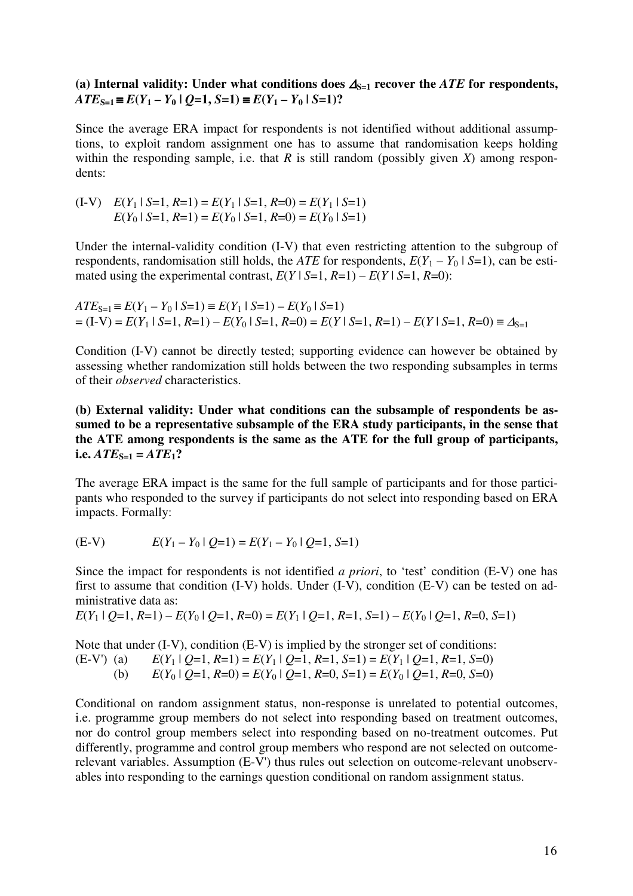#### (a) Internal validity: Under what conditions does  $\Delta_{S=1}$  recover the *ATE* for respondents,  $ATE_{S=1} \equiv E(Y_1 - Y_0 | O=1, S=1) \equiv E(Y_1 - Y_0 | S=1)$ ?

Since the average ERA impact for respondents is not identified without additional assumptions, to exploit random assignment one has to assume that randomisation keeps holding within the responding sample, i.e. that *R* is still random (possibly given *X*) among respondents:

(I-V) 
$$
E(Y_1 | S=1, R=1) = E(Y_1 | S=1, R=0) = E(Y_1 | S=1)
$$
  
 $E(Y_0 | S=1, R=1) = E(Y_0 | S=1, R=0) = E(Y_0 | S=1)$ 

Under the internal-validity condition (I-V) that even restricting attention to the subgroup of respondents, randomisation still holds, the *ATE* for respondents,  $E(Y_1 - Y_0 | S=1)$ , can be estimated using the experimental contrast,  $E(Y \mid S=1, R=1) - E(Y \mid S=1, R=0)$ :

 $ATE_{S=1} \equiv E(Y_1 - Y_0 | S=1) \equiv E(Y_1 | S=1) - E(Y_0 | S=1)$  $= (I-V) = E(Y_1 | S=1, R=1) - E(Y_0 | S=1, R=0) = E(Y | S=1, R=1) - E(Y | S=1, R=0) = \Delta_{S=1}$ 

Condition (I-V) cannot be directly tested; supporting evidence can however be obtained by assessing whether randomization still holds between the two responding subsamples in terms of their *observed* characteristics.

**(b) External validity: Under what conditions can the subsample of respondents be assumed to be a representative subsample of the ERA study participants, in the sense that the ATE among respondents is the same as the ATE for the full group of participants,**   $i.e. ATE_{S=1} = ATE_1?$ 

The average ERA impact is the same for the full sample of participants and for those participants who responded to the survey if participants do not select into responding based on ERA impacts. Formally:

(E-V) 
$$
E(Y_1 - Y_0 | Q=1) = E(Y_1 - Y_0 | Q=1, S=1)
$$

Since the impact for respondents is not identified *a priori*, to 'test' condition (E-V) one has first to assume that condition (I-V) holds. Under (I-V), condition (E-V) can be tested on administrative data as:

$$
E(Y_1 \mid Q=1, R=1) - E(Y_0 \mid Q=1, R=0) = E(Y_1 \mid Q=1, R=1, S=1) - E(Y_0 \mid Q=1, R=0, S=1)
$$

Note that under (I-V), condition (E-V) is implied by the stronger set of conditions: (E-V') (a)  $E(Y_1 | Q=1, R=1) = E(Y_1 | Q=1, R=1, S=1) = E(Y_1 | Q=1, R=1, S=0)$ (b)  $E(Y_0 | Q=1, R=0) = E(Y_0 | Q=1, R=0, S=1) = E(Y_0 | Q=1, R=0, S=0)$ 

Conditional on random assignment status, non-response is unrelated to potential outcomes, i.e. programme group members do not select into responding based on treatment outcomes, nor do control group members select into responding based on no-treatment outcomes. Put differently, programme and control group members who respond are not selected on outcomerelevant variables. Assumption (E-V') thus rules out selection on outcome-relevant unobservables into responding to the earnings question conditional on random assignment status.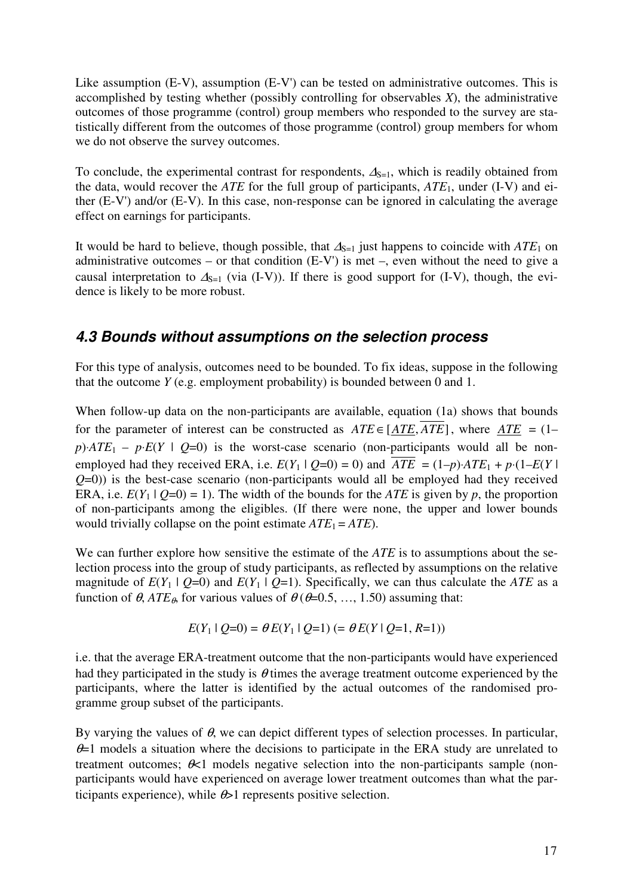Like assumption (E-V), assumption (E-V') can be tested on administrative outcomes. This is accomplished by testing whether (possibly controlling for observables *X*), the administrative outcomes of those programme (control) group members who responded to the survey are statistically different from the outcomes of those programme (control) group members for whom we do not observe the survey outcomes.

To conclude, the experimental contrast for respondents,  $\Delta_{S=1}$ , which is readily obtained from the data, would recover the *ATE* for the full group of participants, *ATE*1, under (I-V) and either (E-V') and/or (E-V). In this case, non-response can be ignored in calculating the average effect on earnings for participants.

It would be hard to believe, though possible, that  $\Delta_{S=1}$  just happens to coincide with  $ATE_1$  on administrative outcomes – or that condition  $(E-V')$  is met –, even without the need to give a causal interpretation to  $\Delta_{S=1}$  (via (I-V)). If there is good support for (I-V), though, the evidence is likely to be more robust.

### **4.3 Bounds without assumptions on the selection process**

For this type of analysis, outcomes need to be bounded. To fix ideas, suppose in the following that the outcome *Y* (e.g. employment probability) is bounded between 0 and 1.

When follow-up data on the non-participants are available, equation (1a) shows that bounds for the parameter of interest can be constructed as  $ATE \in [ATE, \overline{ATE}]$ , where  $ATE = (1$  $p)$ ⋅*ATE*<sub>1</sub> – *p*⋅*E*(*Y* | *Q*=0) is the worst-case scenario (non-participants would all be nonemployed had they received ERA, i.e.  $E(Y_1 | Q=0) = 0$ ) and  $ATE = (1-p) \cdot ATE_1 + p \cdot (1-E(Y))$ *Q*=0)) is the best-case scenario (non-participants would all be employed had they received ERA, i.e.  $E(Y_1 | Q=0) = 1$ ). The width of the bounds for the *ATE* is given by *p*, the proportion of non-participants among the eligibles. (If there were none, the upper and lower bounds would trivially collapse on the point estimate  $ATE_1 = ATE$ .

We can further explore how sensitive the estimate of the *ATE* is to assumptions about the selection process into the group of study participants, as reflected by assumptions on the relative magnitude of  $E(Y_1 | Q=0)$  and  $E(Y_1 | Q=1)$ . Specifically, we can thus calculate the *ATE* as a function of  $\theta$ , *ATE*<sub> $\theta$ </sub>, for various values of  $\theta$  ( $\theta$ =0.5, ..., 1.50) assuming that:

$$
E(Y_1 \mid Q=0) = \theta E(Y_1 \mid Q=1) (= \theta E(Y \mid Q=1, R=1))
$$

i.e. that the average ERA-treatment outcome that the non-participants would have experienced had they participated in the study is  $\theta$  times the average treatment outcome experienced by the participants, where the latter is identified by the actual outcomes of the randomised programme group subset of the participants.

By varying the values of  $\theta$ , we can depict different types of selection processes. In particular,  $\theta$ =1 models a situation where the decisions to participate in the ERA study are unrelated to treatment outcomes;  $\not\in\mathcal{K}$ 1 models negative selection into the non-participants sample (nonparticipants would have experienced on average lower treatment outcomes than what the participants experience), while  $\theta > 1$  represents positive selection.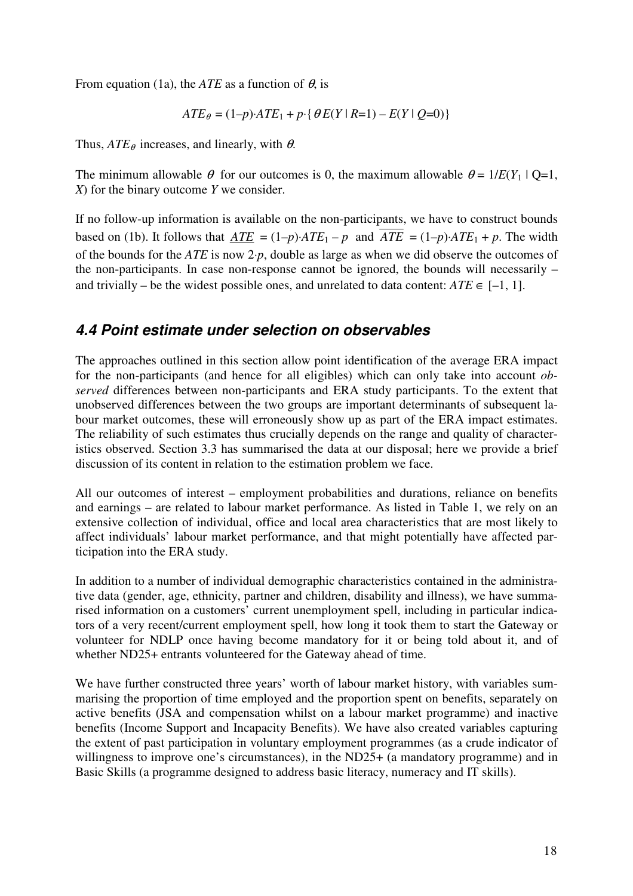From equation (1a), the *ATE* as a function of  $\theta$ , is

$$
ATE_{\theta} = (1 - p) \cdot ATE_1 + p \cdot \{\theta E(Y \mid R = 1) - E(Y \mid Q = 0)\}
$$

Thus,  $ATE_{\theta}$  increases, and linearly, with  $\theta$ .

The minimum allowable  $\theta$  for our outcomes is 0, the maximum allowable  $\theta = 1/E(Y_1 | Q=1,$ *X*) for the binary outcome *Y* we consider.

If no follow-up information is available on the non-participants, we have to construct bounds based on (1b). It follows that  $\overline{ATE} = (1-p) \cdot \overline{ATE_1} - p$  and  $\overline{ATE} = (1-p) \cdot \overline{ATE_1} + p$ . The width of the bounds for the *ATE* is now 2⋅*p*, double as large as when we did observe the outcomes of the non-participants. In case non-response cannot be ignored, the bounds will necessarily – and trivially – be the widest possible ones, and unrelated to data content:  $ATE \in [-1, 1]$ .

#### **4.4 Point estimate under selection on observables**

The approaches outlined in this section allow point identification of the average ERA impact for the non-participants (and hence for all eligibles) which can only take into account *observed* differences between non-participants and ERA study participants. To the extent that unobserved differences between the two groups are important determinants of subsequent labour market outcomes, these will erroneously show up as part of the ERA impact estimates. The reliability of such estimates thus crucially depends on the range and quality of characteristics observed. Section 3.3 has summarised the data at our disposal; here we provide a brief discussion of its content in relation to the estimation problem we face.

All our outcomes of interest – employment probabilities and durations, reliance on benefits and earnings – are related to labour market performance. As listed in Table 1, we rely on an extensive collection of individual, office and local area characteristics that are most likely to affect individuals' labour market performance, and that might potentially have affected participation into the ERA study.

In addition to a number of individual demographic characteristics contained in the administrative data (gender, age, ethnicity, partner and children, disability and illness), we have summarised information on a customers' current unemployment spell, including in particular indicators of a very recent/current employment spell, how long it took them to start the Gateway or volunteer for NDLP once having become mandatory for it or being told about it, and of whether ND25+ entrants volunteered for the Gateway ahead of time.

We have further constructed three years' worth of labour market history, with variables summarising the proportion of time employed and the proportion spent on benefits, separately on active benefits (JSA and compensation whilst on a labour market programme) and inactive benefits (Income Support and Incapacity Benefits). We have also created variables capturing the extent of past participation in voluntary employment programmes (as a crude indicator of willingness to improve one's circumstances), in the ND25+ (a mandatory programme) and in Basic Skills (a programme designed to address basic literacy, numeracy and IT skills).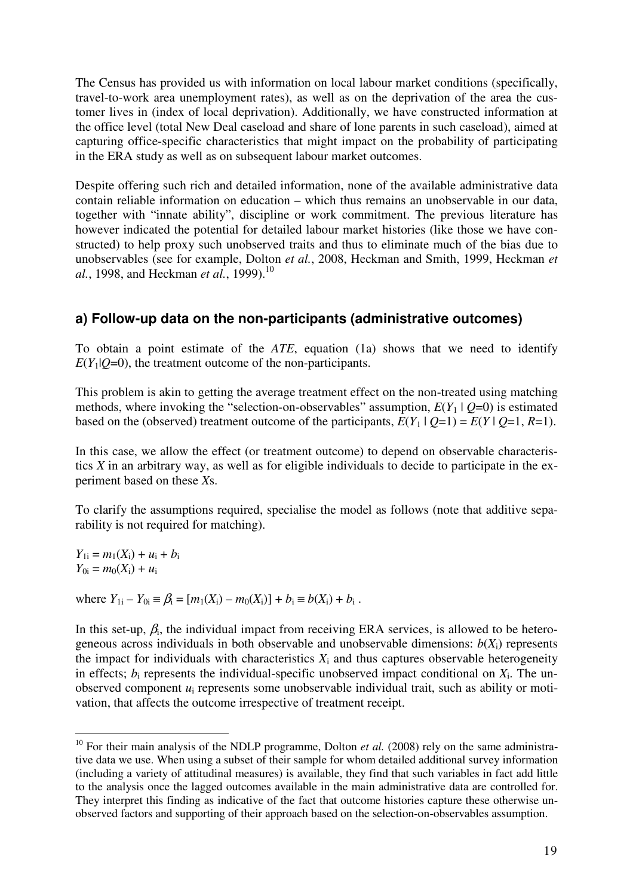The Census has provided us with information on local labour market conditions (specifically, travel-to-work area unemployment rates), as well as on the deprivation of the area the customer lives in (index of local deprivation). Additionally, we have constructed information at the office level (total New Deal caseload and share of lone parents in such caseload), aimed at capturing office-specific characteristics that might impact on the probability of participating in the ERA study as well as on subsequent labour market outcomes.

Despite offering such rich and detailed information, none of the available administrative data contain reliable information on education – which thus remains an unobservable in our data, together with "innate ability", discipline or work commitment. The previous literature has however indicated the potential for detailed labour market histories (like those we have constructed) to help proxy such unobserved traits and thus to eliminate much of the bias due to unobservables (see for example, Dolton *et al.*, 2008, Heckman and Smith, 1999, Heckman *et al.*, 1998, and Heckman *et al.*, 1999).<sup>10</sup>

#### **a) Follow-up data on the non-participants (administrative outcomes)**

To obtain a point estimate of the *ATE*, equation (1a) shows that we need to identify  $E(Y|\mathcal{Q}=0)$ , the treatment outcome of the non-participants.

This problem is akin to getting the average treatment effect on the non-treated using matching methods, where invoking the "selection-on-observables" assumption,  $E(Y_1 | Q=0)$  is estimated based on the (observed) treatment outcome of the participants,  $E(Y_1 | Q=1) = E(Y | Q=1, R=1)$ .

In this case, we allow the effect (or treatment outcome) to depend on observable characteristics *X* in an arbitrary way, as well as for eligible individuals to decide to participate in the experiment based on these *X*s.

To clarify the assumptions required, specialise the model as follows (note that additive separability is not required for matching).

 $Y_{1i} = m_1(X_i) + u_i + b_i$  $Y_{0i} = m_0(X_i) + u_i$ 

where  $Y_{1i} - Y_{0i} \equiv \beta_i = [m_1(X_i) - m_0(X_i)] + b_i \equiv b(X_i) + b_i$ .

 $\overline{a}$ 

In this set-up,  $\beta_i$ , the individual impact from receiving ERA services, is allowed to be heterogeneous across individuals in both observable and unobservable dimensions:  $b(X_i)$  represents the impact for individuals with characteristics  $X_i$  and thus captures observable heterogeneity in effects;  $b_i$  represents the individual-specific unobserved impact conditional on  $X_i$ . The unobserved component  $u_i$  represents some unobservable individual trait, such as ability or motivation, that affects the outcome irrespective of treatment receipt.

<sup>&</sup>lt;sup>10</sup> For their main analysis of the NDLP programme, Dolton *et al.* (2008) rely on the same administrative data we use. When using a subset of their sample for whom detailed additional survey information (including a variety of attitudinal measures) is available, they find that such variables in fact add little to the analysis once the lagged outcomes available in the main administrative data are controlled for. They interpret this finding as indicative of the fact that outcome histories capture these otherwise unobserved factors and supporting of their approach based on the selection-on-observables assumption.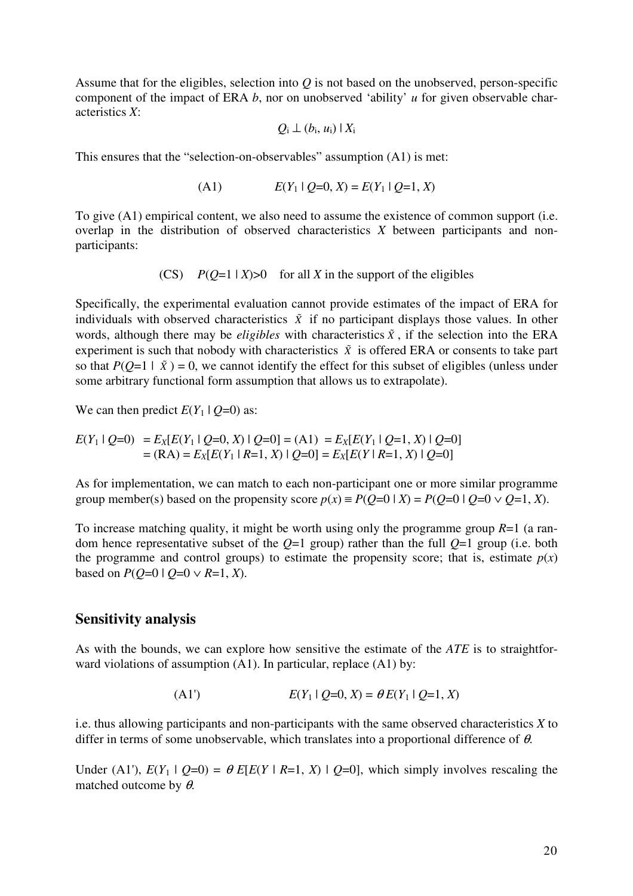Assume that for the eligibles, selection into *Q* is not based on the unobserved, person-specific component of the impact of ERA *b*, nor on unobserved 'ability' *u* for given observable characteristics *X*:

$$
Q_i \perp (b_i, u_i) \mid X_i
$$

This ensures that the "selection-on-observables" assumption (A1) is met:

(A1) 
$$
E(Y_1 \mid Q=0, X) = E(Y_1 \mid Q=1, X)
$$

To give (A1) empirical content, we also need to assume the existence of common support (i.e. overlap in the distribution of observed characteristics *X* between participants and nonparticipants:

(CS)  $P(Q=1 | X) > 0$  for all *X* in the support of the eligibles

Specifically, the experimental evaluation cannot provide estimates of the impact of ERA for individuals with observed characteristics  $\tilde{x}$  if no participant displays those values. In other words, although there may be *eligibles* with characteristics  $\tilde{x}$ , if the selection into the ERA experiment is such that nobody with characteristics  $\tilde{X}$  is offered ERA or consents to take part so that  $P(Q=1 | \tilde{X}) = 0$ , we cannot identify the effect for this subset of eligibles (unless under some arbitrary functional form assumption that allows us to extrapolate).

We can then predict  $E(Y_1 | Q=0)$  as:

$$
E(Y_1 \mid Q=0) = E_X[E(Y_1 \mid Q=0, X) \mid Q=0] = (A1) = E_X[E(Y_1 \mid Q=1, X) \mid Q=0]
$$
  
= (RA) =  $E_X[E(Y_1 \mid R=1, X) \mid Q=0] = E_X[E(Y \mid R=1, X) \mid Q=0]$ 

As for implementation, we can match to each non-participant one or more similar programme group member(s) based on the propensity score  $p(x) \equiv P(Q=0 | X) = P(Q=0 | Q=0 \vee Q=1, X)$ .

To increase matching quality, it might be worth using only the programme group *R*=1 (a random hence representative subset of the *Q*=1 group) rather than the full *Q*=1 group (i.e. both the programme and control groups) to estimate the propensity score; that is, estimate  $p(x)$ based on  $P(O=0 | O=0 \vee R=1, X)$ .

#### **Sensitivity analysis**

As with the bounds, we can explore how sensitive the estimate of the *ATE* is to straightforward violations of assumption (A1). In particular, replace (A1) by:

(A1') 
$$
E(Y_1 \mid Q=0, X) = \theta E(Y_1 \mid Q=1, X)
$$

i.e. thus allowing participants and non-participants with the same observed characteristics *X* to differ in terms of some unobservable, which translates into a proportional difference of  $\theta$ .

Under (A1'),  $E(Y_1 | Q=0) = \theta E[E(Y | R=1, X) | Q=0]$ , which simply involves rescaling the matched outcome by  $\theta$ .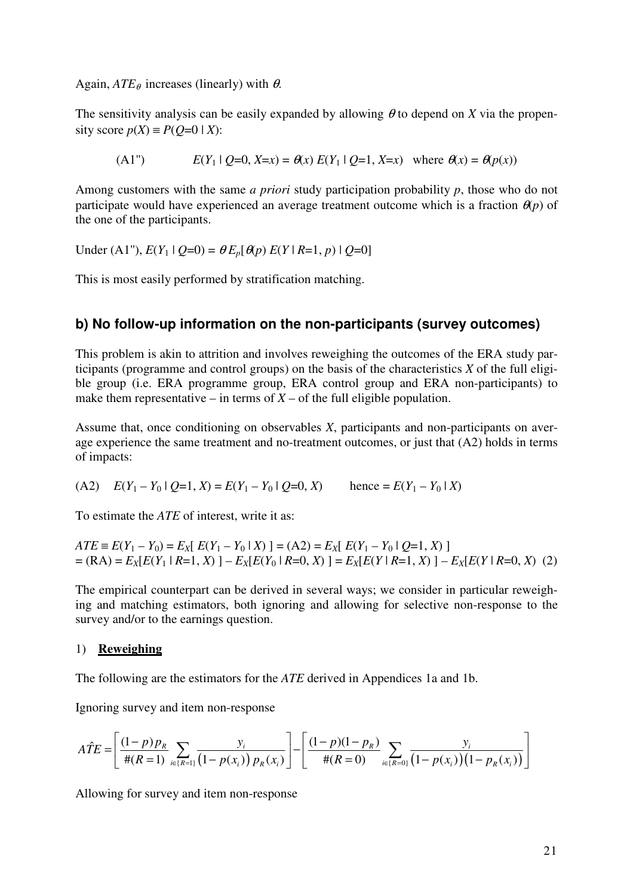Again,  $ATE_{\theta}$  increases (linearly) with  $\theta$ .

The sensitivity analysis can be easily expanded by allowing  $\theta$  to depend on *X* via the propensity score  $p(X) \equiv P(Q=0 | X)$ :

(A1") 
$$
E(Y_1 | Q=0, X=x) = \theta(x) E(Y_1 | Q=1, X=x)
$$
 where  $\theta(x) = \theta(p(x))$ 

Among customers with the same *a priori* study participation probability *p*, those who do not participate would have experienced an average treatment outcome which is a fraction  $\theta(p)$  of the one of the participants.

Under (A1"),  $E(Y_1 | Q=0) = \theta E_p[\theta(p) E(Y | R=1, p) | Q=0]$ 

This is most easily performed by stratification matching.

#### **b) No follow-up information on the non-participants (survey outcomes)**

This problem is akin to attrition and involves reweighing the outcomes of the ERA study participants (programme and control groups) on the basis of the characteristics *X* of the full eligible group (i.e. ERA programme group, ERA control group and ERA non-participants) to make them representative – in terms of  $X$  – of the full eligible population.

Assume that, once conditioning on observables *X*, participants and non-participants on average experience the same treatment and no-treatment outcomes, or just that (A2) holds in terms of impacts:

(A2) 
$$
E(Y_1 - Y_0 | Q=1, X) = E(Y_1 - Y_0 | Q=0, X)
$$
 hence  $= E(Y_1 - Y_0 | X)$ 

To estimate the *ATE* of interest, write it as:

$$
ATE \equiv E(Y_1 - Y_0) = E_X[E(Y_1 - Y_0 | X)] = (A2) = E_X[E(Y_1 - Y_0 | Q=1, X)]
$$
  
= (RA) = E\_X[E(Y\_1 | R=1, X)] - E\_X[E(Y\_0 | R=0, X)] = E\_X[E(Y | R=1, X)] - E\_X[E(Y | R=0, X)] (2)

The empirical counterpart can be derived in several ways; we consider in particular reweighing and matching estimators, both ignoring and allowing for selective non-response to the survey and/or to the earnings question.

#### 1) **Reweighing**

The following are the estimators for the *ATE* derived in Appendices 1a and 1b.

Ignoring survey and item non-response

$$
\hat{ATE} = \left[ \frac{(1-p)p_R}{\#(R=1)} \sum_{i \in \{R=1\}} \frac{y_i}{(1-p(x_i)) p_R(x_i)} \right] - \left[ \frac{(1-p)(1-p_R)}{\#(R=0)} \sum_{i \in \{R=0\}} \frac{y_i}{(1-p(x_i)) (1-p_R(x_i))} \right]
$$

Allowing for survey and item non-response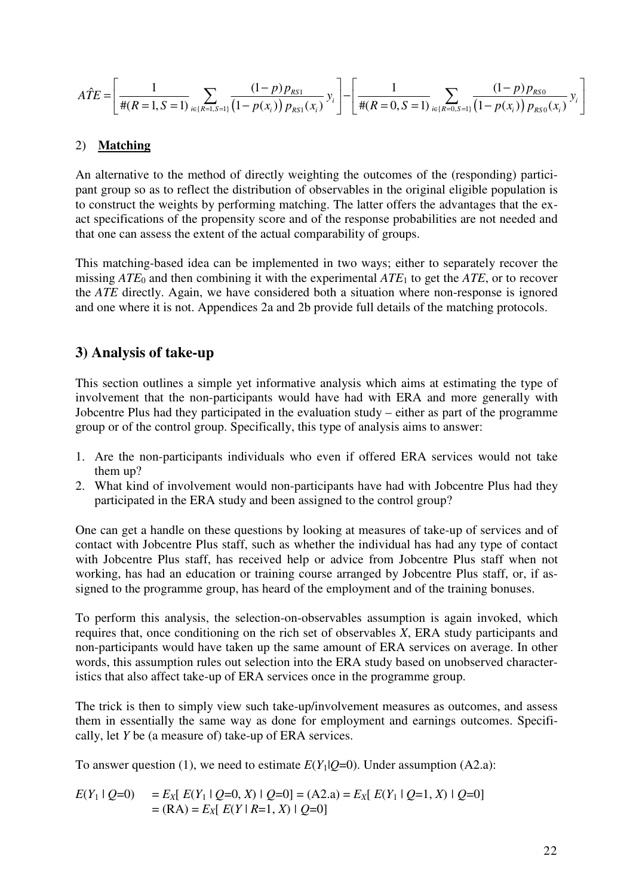$$
\hat{ATE} = \left[ \frac{1}{\#(R=1, S=1)} \sum_{i \in \{R=1, S=1\}} \frac{(1-p) p_{RS1}}{(1-p(x_i)) p_{RS1}(x_i)} y_i \right] - \left[ \frac{1}{\#(R=0, S=1)} \sum_{i \in \{R=0, S=1\}} \frac{(1-p) p_{RS0}}{(1-p(x_i)) p_{RS0}(x_i)} y_i \right]
$$

#### 2) **Matching**

An alternative to the method of directly weighting the outcomes of the (responding) participant group so as to reflect the distribution of observables in the original eligible population is to construct the weights by performing matching. The latter offers the advantages that the exact specifications of the propensity score and of the response probabilities are not needed and that one can assess the extent of the actual comparability of groups.

This matching-based idea can be implemented in two ways; either to separately recover the missing  $ATE_0$  and then combining it with the experimental  $ATE_1$  to get the  $ATE$ , or to recover the *ATE* directly. Again, we have considered both a situation where non-response is ignored and one where it is not. Appendices 2a and 2b provide full details of the matching protocols.

#### **3) Analysis of take-up**

This section outlines a simple yet informative analysis which aims at estimating the type of involvement that the non-participants would have had with ERA and more generally with Jobcentre Plus had they participated in the evaluation study – either as part of the programme group or of the control group. Specifically, this type of analysis aims to answer:

- 1. Are the non-participants individuals who even if offered ERA services would not take them up?
- 2. What kind of involvement would non-participants have had with Jobcentre Plus had they participated in the ERA study and been assigned to the control group?

One can get a handle on these questions by looking at measures of take-up of services and of contact with Jobcentre Plus staff, such as whether the individual has had any type of contact with Jobcentre Plus staff, has received help or advice from Jobcentre Plus staff when not working, has had an education or training course arranged by Jobcentre Plus staff, or, if assigned to the programme group, has heard of the employment and of the training bonuses.

To perform this analysis, the selection-on-observables assumption is again invoked, which requires that, once conditioning on the rich set of observables *X*, ERA study participants and non-participants would have taken up the same amount of ERA services on average. In other words, this assumption rules out selection into the ERA study based on unobserved characteristics that also affect take-up of ERA services once in the programme group.

The trick is then to simply view such take-up/involvement measures as outcomes, and assess them in essentially the same way as done for employment and earnings outcomes. Specifically, let *Y* be (a measure of) take-up of ERA services.

To answer question (1), we need to estimate  $E(Y|\mathcal{O}=0)$ . Under assumption (A2.a):

$$
E(Y_1 \mid Q=0) = E_X [ E(Y_1 \mid Q=0, X) \mid Q=0 ] = (A2.a) = E_X [ E(Y_1 \mid Q=1, X) \mid Q=0 ]
$$
  
= (RA) = E\_X [ E(Y \mid R=1, X) \mid Q=0 ]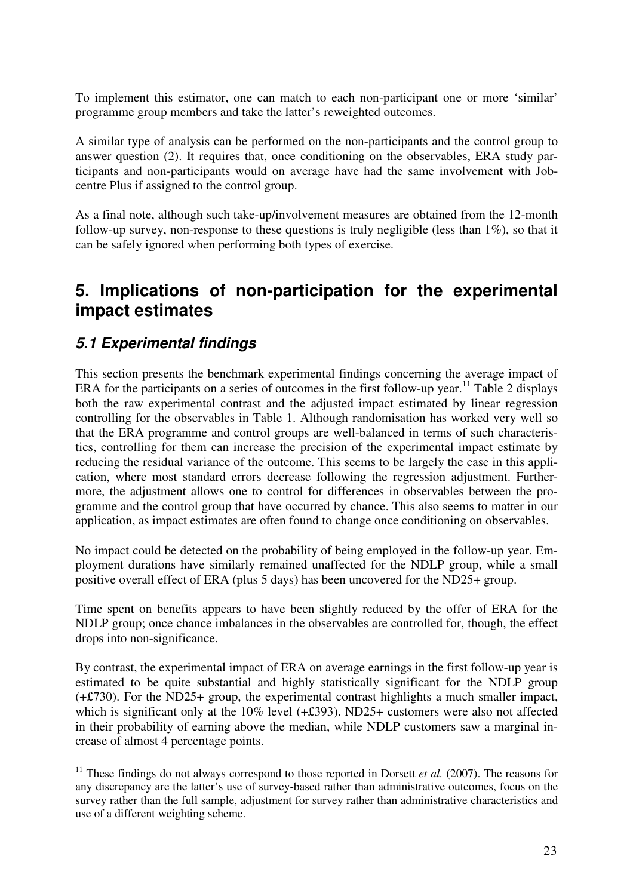To implement this estimator, one can match to each non-participant one or more 'similar' programme group members and take the latter's reweighted outcomes.

A similar type of analysis can be performed on the non-participants and the control group to answer question (2). It requires that, once conditioning on the observables, ERA study participants and non-participants would on average have had the same involvement with Jobcentre Plus if assigned to the control group.

As a final note, although such take-up/involvement measures are obtained from the 12-month follow-up survey, non-response to these questions is truly negligible (less than  $1\%$ ), so that it can be safely ignored when performing both types of exercise.

### **5. Implications of non-participation for the experimental impact estimates**

### **5.1 Experimental findings**

 $\overline{a}$ 

This section presents the benchmark experimental findings concerning the average impact of ERA for the participants on a series of outcomes in the first follow-up year.<sup>11</sup> Table 2 displays both the raw experimental contrast and the adjusted impact estimated by linear regression controlling for the observables in Table 1. Although randomisation has worked very well so that the ERA programme and control groups are well-balanced in terms of such characteristics, controlling for them can increase the precision of the experimental impact estimate by reducing the residual variance of the outcome. This seems to be largely the case in this application, where most standard errors decrease following the regression adjustment. Furthermore, the adjustment allows one to control for differences in observables between the programme and the control group that have occurred by chance. This also seems to matter in our application, as impact estimates are often found to change once conditioning on observables.

No impact could be detected on the probability of being employed in the follow-up year. Employment durations have similarly remained unaffected for the NDLP group, while a small positive overall effect of ERA (plus 5 days) has been uncovered for the ND25+ group.

Time spent on benefits appears to have been slightly reduced by the offer of ERA for the NDLP group; once chance imbalances in the observables are controlled for, though, the effect drops into non-significance.

By contrast, the experimental impact of ERA on average earnings in the first follow-up year is estimated to be quite substantial and highly statistically significant for the NDLP group (+£730). For the ND25+ group, the experimental contrast highlights a much smaller impact, which is significant only at the 10% level ( $\pm$ £393). ND25+ customers were also not affected in their probability of earning above the median, while NDLP customers saw a marginal increase of almost 4 percentage points.

<sup>&</sup>lt;sup>11</sup> These findings do not always correspond to those reported in Dorsett *et al.* (2007). The reasons for any discrepancy are the latter's use of survey-based rather than administrative outcomes, focus on the survey rather than the full sample, adjustment for survey rather than administrative characteristics and use of a different weighting scheme.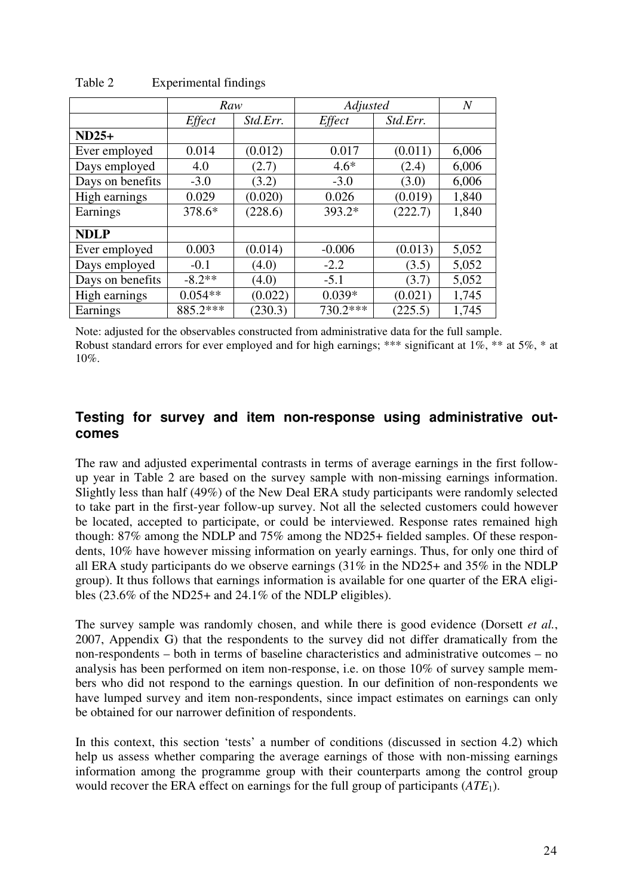|                  | Raw           |          | Adjusted      | N        |       |
|------------------|---------------|----------|---------------|----------|-------|
|                  | <i>Effect</i> | Std.Err. | <i>Effect</i> | Std.Err. |       |
| $ND25+$          |               |          |               |          |       |
| Ever employed    | 0.014         | (0.012)  | 0.017         | (0.011)  | 6,006 |
| Days employed    | 4.0           | (2.7)    | $4.6*$        | (2.4)    | 6,006 |
| Days on benefits | $-3.0$        | (3.2)    | $-3.0$        | (3.0)    | 6,006 |
| High earnings    | 0.029         | (0.020)  | 0.026         | (0.019)  | 1,840 |
| Earnings         | 378.6*        | (228.6)  | 393.2*        | (222.7)  | 1,840 |
| <b>NDLP</b>      |               |          |               |          |       |
| Ever employed    | 0.003         | (0.014)  | $-0.006$      | (0.013)  | 5,052 |
| Days employed    | $-0.1$        | (4.0)    | $-2.2$        | (3.5)    | 5,052 |
| Days on benefits | $-8.2**$      | (4.0)    | $-5.1$        | (3.7)    | 5,052 |
| High earnings    | $0.054**$     | (0.022)  | $0.039*$      | (0.021)  | 1,745 |
| Earnings         | 885.2***      | (230.3)  | 730.2***      | (225.5)  | 1,745 |

Table 2 Experimental findings

Note: adjusted for the observables constructed from administrative data for the full sample. Robust standard errors for ever employed and for high earnings; \*\*\* significant at  $1\%$ , \*\* at  $5\%$ , \* at 10%.

#### **Testing for survey and item non-response using administrative outcomes**

The raw and adjusted experimental contrasts in terms of average earnings in the first followup year in Table 2 are based on the survey sample with non-missing earnings information. Slightly less than half (49%) of the New Deal ERA study participants were randomly selected to take part in the first-year follow-up survey. Not all the selected customers could however be located, accepted to participate, or could be interviewed. Response rates remained high though: 87% among the NDLP and 75% among the ND25+ fielded samples. Of these respondents, 10% have however missing information on yearly earnings. Thus, for only one third of all ERA study participants do we observe earnings (31% in the ND25+ and 35% in the NDLP group). It thus follows that earnings information is available for one quarter of the ERA eligibles (23.6% of the ND25+ and 24.1% of the NDLP eligibles).

The survey sample was randomly chosen, and while there is good evidence (Dorsett *et al.*, 2007, Appendix G) that the respondents to the survey did not differ dramatically from the non-respondents – both in terms of baseline characteristics and administrative outcomes – no analysis has been performed on item non-response, i.e. on those 10% of survey sample members who did not respond to the earnings question. In our definition of non-respondents we have lumped survey and item non-respondents, since impact estimates on earnings can only be obtained for our narrower definition of respondents.

In this context, this section 'tests' a number of conditions (discussed in section 4.2) which help us assess whether comparing the average earnings of those with non-missing earnings information among the programme group with their counterparts among the control group would recover the ERA effect on earnings for the full group of participants (*ATE*1).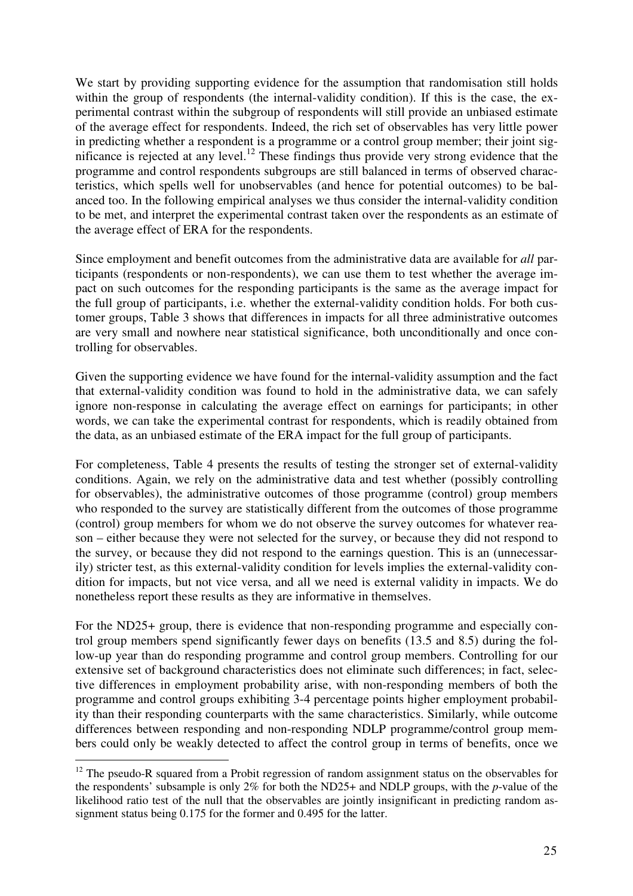We start by providing supporting evidence for the assumption that randomisation still holds within the group of respondents (the internal-validity condition). If this is the case, the experimental contrast within the subgroup of respondents will still provide an unbiased estimate of the average effect for respondents. Indeed, the rich set of observables has very little power in predicting whether a respondent is a programme or a control group member; their joint significance is rejected at any level.<sup>12</sup> These findings thus provide very strong evidence that the programme and control respondents subgroups are still balanced in terms of observed characteristics, which spells well for unobservables (and hence for potential outcomes) to be balanced too. In the following empirical analyses we thus consider the internal-validity condition to be met, and interpret the experimental contrast taken over the respondents as an estimate of the average effect of ERA for the respondents.

Since employment and benefit outcomes from the administrative data are available for *all* participants (respondents or non-respondents), we can use them to test whether the average impact on such outcomes for the responding participants is the same as the average impact for the full group of participants, i.e. whether the external-validity condition holds. For both customer groups, Table 3 shows that differences in impacts for all three administrative outcomes are very small and nowhere near statistical significance, both unconditionally and once controlling for observables.

Given the supporting evidence we have found for the internal-validity assumption and the fact that external-validity condition was found to hold in the administrative data, we can safely ignore non-response in calculating the average effect on earnings for participants; in other words, we can take the experimental contrast for respondents, which is readily obtained from the data, as an unbiased estimate of the ERA impact for the full group of participants.

For completeness, Table 4 presents the results of testing the stronger set of external-validity conditions. Again, we rely on the administrative data and test whether (possibly controlling for observables), the administrative outcomes of those programme (control) group members who responded to the survey are statistically different from the outcomes of those programme (control) group members for whom we do not observe the survey outcomes for whatever reason – either because they were not selected for the survey, or because they did not respond to the survey, or because they did not respond to the earnings question. This is an (unnecessarily) stricter test, as this external-validity condition for levels implies the external-validity condition for impacts, but not vice versa, and all we need is external validity in impacts. We do nonetheless report these results as they are informative in themselves.

For the ND25+ group, there is evidence that non-responding programme and especially control group members spend significantly fewer days on benefits (13.5 and 8.5) during the follow-up year than do responding programme and control group members. Controlling for our extensive set of background characteristics does not eliminate such differences; in fact, selective differences in employment probability arise, with non-responding members of both the programme and control groups exhibiting 3-4 percentage points higher employment probability than their responding counterparts with the same characteristics. Similarly, while outcome differences between responding and non-responding NDLP programme/control group members could only be weakly detected to affect the control group in terms of benefits, once we

 $\overline{a}$ 

 $12$  The pseudo-R squared from a Probit regression of random assignment status on the observables for the respondents' subsample is only 2% for both the ND25+ and NDLP groups, with the *p*-value of the likelihood ratio test of the null that the observables are jointly insignificant in predicting random assignment status being 0.175 for the former and 0.495 for the latter.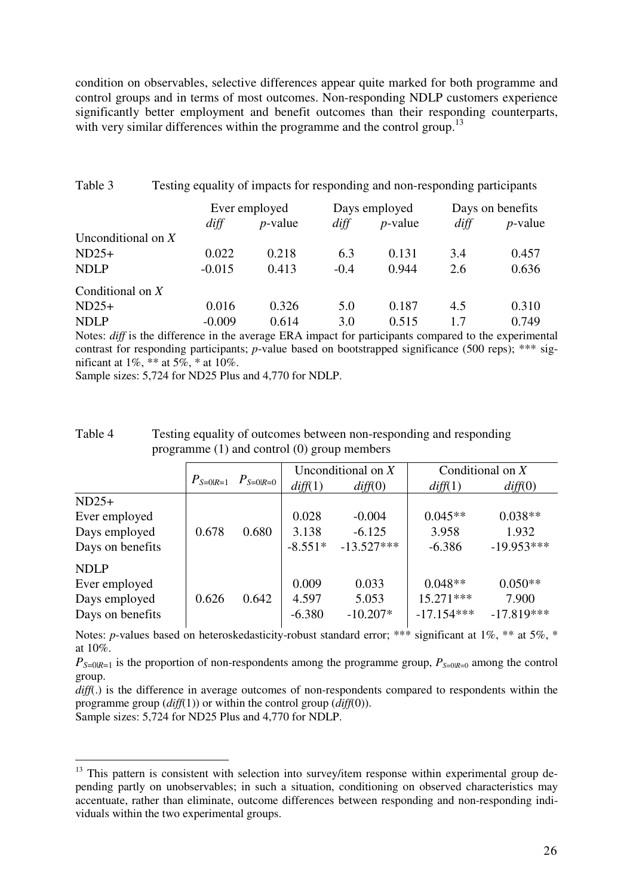condition on observables, selective differences appear quite marked for both programme and control groups and in terms of most outcomes. Non-responding NDLP customers experience significantly better employment and benefit outcomes than their responding counterparts, with very similar differences within the programme and the control group.<sup>13</sup>

| Table 3              | Testing equality of impacts for responding and non-responding participants |               |        |               |      |                  |  |
|----------------------|----------------------------------------------------------------------------|---------------|--------|---------------|------|------------------|--|
|                      |                                                                            | Ever employed |        | Days employed |      | Days on benefits |  |
|                      | diff                                                                       | $p$ -value    | diff   | $p$ -value    | diff | $p$ -value       |  |
| Unconditional on $X$ |                                                                            |               |        |               |      |                  |  |
| $ND25+$              | 0.022                                                                      | 0.218         | 6.3    | 0.131         | 3.4  | 0.457            |  |
| <b>NDLP</b>          | $-0.015$                                                                   | 0.413         | $-0.4$ | 0.944         | 2.6  | 0.636            |  |
| Conditional on $X$   |                                                                            |               |        |               |      |                  |  |
| $ND25+$              | 0.016                                                                      | 0.326         | 5.0    | 0.187         | 4.5  | 0.310            |  |
| <b>NDLP</b>          | $-0.009$                                                                   | 0.614         | 3.0    | 0.515         | 1.7  | 0.749            |  |

Notes: *diff* is the difference in the average ERA impact for participants compared to the experimental contrast for responding participants; *p*-value based on bootstrapped significance (500 reps); \*\*\* significant at  $1\%$ , \*\* at  $5\%$ , \* at  $10\%$ .

Sample sizes: 5,724 for ND25 Plus and 4,770 for NDLP.

| Table 4 | Testing equality of outcomes between non-responding and responding |
|---------|--------------------------------------------------------------------|
|         | programme $(1)$ and control $(0)$ group members                    |

|                  |               | $P_{S=0 R=0}$ |           | Unconditional on $X$ | Conditional on $X$ |              |
|------------------|---------------|---------------|-----------|----------------------|--------------------|--------------|
|                  | $P_{S=0 R=1}$ |               | diff(1)   | diff(0)              | diff(1)            | diff(0)      |
| $ND25+$          |               |               |           |                      |                    |              |
| Ever employed    |               |               | 0.028     | $-0.004$             | $0.045**$          | $0.038**$    |
| Days employed    | 0.678         | 0.680         | 3.138     | $-6.125$             | 3.958              | 1.932        |
| Days on benefits |               |               | $-8.551*$ | $-13.527***$         | $-6.386$           | $-19.953***$ |
| <b>NDLP</b>      |               |               |           |                      |                    |              |
| Ever employed    |               |               | 0.009     | 0.033                | $0.048**$          | $0.050**$    |
| Days employed    | 0.626         | 0.642         | 4.597     | 5.053                | $15.271***$        | 7.900        |
| Days on benefits |               |               | $-6.380$  | $-10.207*$           | $-17.154***$       | $-17.819***$ |

Notes: *p*-values based on heteroskedasticity-robust standard error; \*\*\* significant at 1%, \*\* at 5%, \* at 10%.

 $P_{S=0|R=1}$  is the proportion of non-respondents among the programme group,  $P_{S=0|R=0}$  among the control group.

*diff*(.) is the difference in average outcomes of non-respondents compared to respondents within the programme group (*diff*(1)) or within the control group (*diff*(0)).

Sample sizes: 5,724 for ND25 Plus and 4,770 for NDLP.

 $\overline{a}$ 

<sup>&</sup>lt;sup>13</sup> This pattern is consistent with selection into survey/item response within experimental group depending partly on unobservables; in such a situation, conditioning on observed characteristics may accentuate, rather than eliminate, outcome differences between responding and non-responding individuals within the two experimental groups.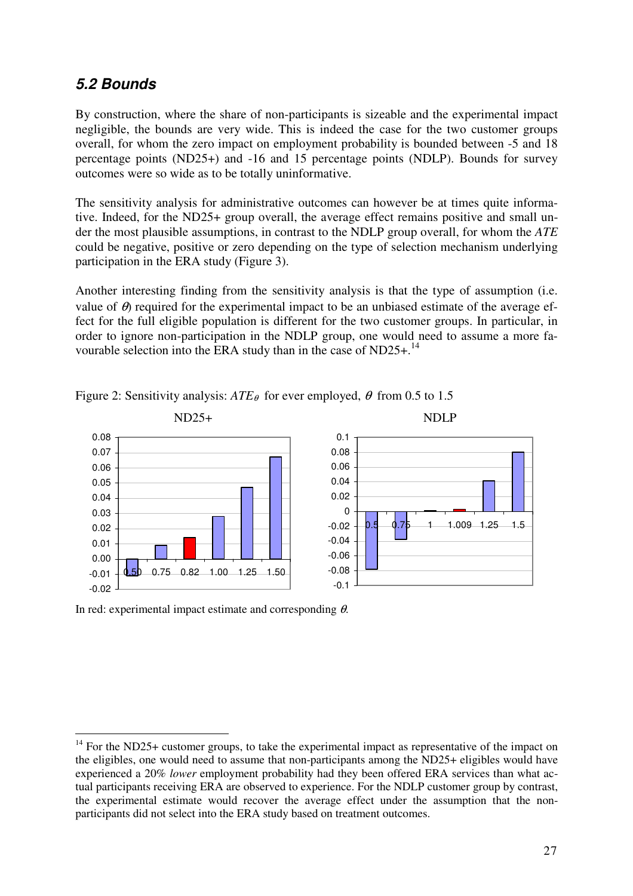### **5.2 Bounds**

By construction, where the share of non-participants is sizeable and the experimental impact negligible, the bounds are very wide. This is indeed the case for the two customer groups overall, for whom the zero impact on employment probability is bounded between -5 and 18 percentage points (ND25+) and -16 and 15 percentage points (NDLP). Bounds for survey outcomes were so wide as to be totally uninformative.

The sensitivity analysis for administrative outcomes can however be at times quite informative. Indeed, for the ND25+ group overall, the average effect remains positive and small under the most plausible assumptions, in contrast to the NDLP group overall, for whom the *ATE* could be negative, positive or zero depending on the type of selection mechanism underlying participation in the ERA study (Figure 3).

Another interesting finding from the sensitivity analysis is that the type of assumption (i.e. value of  $\theta$ ) required for the experimental impact to be an unbiased estimate of the average effect for the full eligible population is different for the two customer groups. In particular, in order to ignore non-participation in the NDLP group, one would need to assume a more favourable selection into the ERA study than in the case of ND25+.<sup>14</sup>



Figure 2: Sensitivity analysis:  $ATE_{\theta}$  for ever employed,  $\theta$  from 0.5 to 1.5

In red: experimental impact estimate and corresponding  $\theta$ .

l

 $14$  For the ND25+ customer groups, to take the experimental impact as representative of the impact on the eligibles, one would need to assume that non-participants among the ND25+ eligibles would have experienced a 20% *lower* employment probability had they been offered ERA services than what actual participants receiving ERA are observed to experience. For the NDLP customer group by contrast, the experimental estimate would recover the average effect under the assumption that the nonparticipants did not select into the ERA study based on treatment outcomes.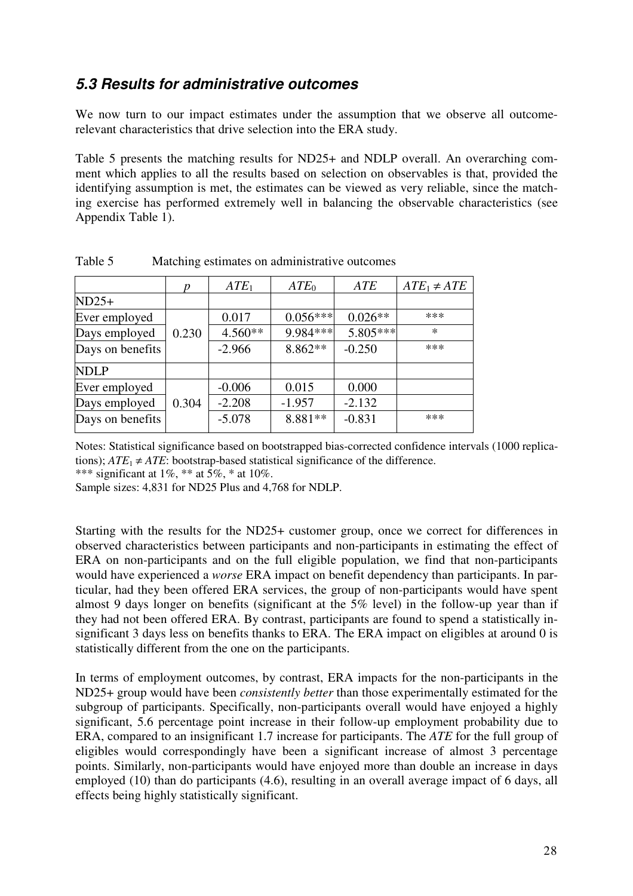### **5.3 Results for administrative outcomes**

We now turn to our impact estimates under the assumption that we observe all outcomerelevant characteristics that drive selection into the ERA study.

Table 5 presents the matching results for ND25+ and NDLP overall. An overarching comment which applies to all the results based on selection on observables is that, provided the identifying assumption is met, the estimates can be viewed as very reliable, since the matching exercise has performed extremely well in balancing the observable characteristics (see Appendix Table 1).

|                  | p     | ATE <sub>1</sub> | ATE <sub>0</sub> | <b>ATE</b> | $ATE_1 \neq ATE$ |
|------------------|-------|------------------|------------------|------------|------------------|
| $ND25+$          |       |                  |                  |            |                  |
| Ever employed    |       | 0.017            | $0.056***$       | $0.026**$  | ***              |
| Days employed    | 0.230 | 4.560**          | 9.984***         | 5.805***   | $\ast$           |
| Days on benefits |       | $-2.966$         | $8.862**$        | $-0.250$   | ***              |
| <b>NDLP</b>      |       |                  |                  |            |                  |
| Ever employed    |       | $-0.006$         | 0.015            | 0.000      |                  |
| Days employed    | 0.304 | $-2.208$         | $-1.957$         | $-2.132$   |                  |
| Days on benefits |       | $-5.078$         | 8.881 **         | $-0.831$   | ***              |

Table 5 Matching estimates on administrative outcomes

Notes: Statistical significance based on bootstrapped bias-corrected confidence intervals (1000 replications);  $ATE_1 \neq ATE$ : bootstrap-based statistical significance of the difference.

\*\*\* significant at 1%, \*\* at  $\frac{5}{6}$  \* at 10%.

Sample sizes: 4,831 for ND25 Plus and 4,768 for NDLP.

Starting with the results for the ND25+ customer group, once we correct for differences in observed characteristics between participants and non-participants in estimating the effect of ERA on non-participants and on the full eligible population, we find that non-participants would have experienced a *worse* ERA impact on benefit dependency than participants. In particular, had they been offered ERA services, the group of non-participants would have spent almost 9 days longer on benefits (significant at the 5% level) in the follow-up year than if they had not been offered ERA. By contrast, participants are found to spend a statistically insignificant 3 days less on benefits thanks to ERA. The ERA impact on eligibles at around 0 is statistically different from the one on the participants.

In terms of employment outcomes, by contrast, ERA impacts for the non-participants in the ND25+ group would have been *consistently better* than those experimentally estimated for the subgroup of participants. Specifically, non-participants overall would have enjoyed a highly significant, 5.6 percentage point increase in their follow-up employment probability due to ERA, compared to an insignificant 1.7 increase for participants. The *ATE* for the full group of eligibles would correspondingly have been a significant increase of almost 3 percentage points. Similarly, non-participants would have enjoyed more than double an increase in days employed (10) than do participants (4.6), resulting in an overall average impact of 6 days, all effects being highly statistically significant.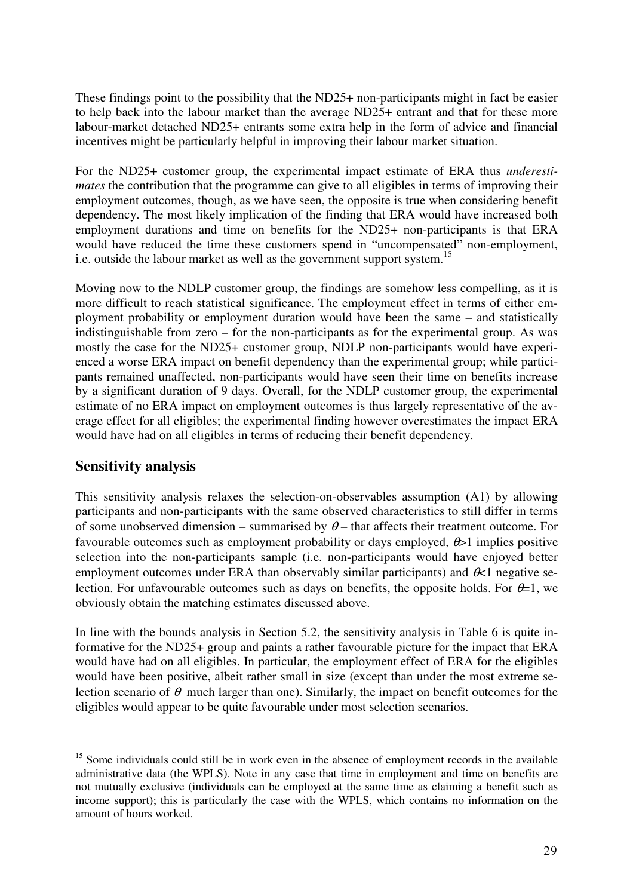These findings point to the possibility that the ND25+ non-participants might in fact be easier to help back into the labour market than the average ND25+ entrant and that for these more labour-market detached ND25+ entrants some extra help in the form of advice and financial incentives might be particularly helpful in improving their labour market situation.

For the ND25+ customer group, the experimental impact estimate of ERA thus *underestimates* the contribution that the programme can give to all eligibles in terms of improving their employment outcomes, though, as we have seen, the opposite is true when considering benefit dependency. The most likely implication of the finding that ERA would have increased both employment durations and time on benefits for the ND25+ non-participants is that ERA would have reduced the time these customers spend in "uncompensated" non-employment, i.e. outside the labour market as well as the government support system.<sup>15</sup>

Moving now to the NDLP customer group, the findings are somehow less compelling, as it is more difficult to reach statistical significance. The employment effect in terms of either employment probability or employment duration would have been the same – and statistically indistinguishable from zero – for the non-participants as for the experimental group. As was mostly the case for the ND25+ customer group, NDLP non-participants would have experienced a worse ERA impact on benefit dependency than the experimental group; while participants remained unaffected, non-participants would have seen their time on benefits increase by a significant duration of 9 days. Overall, for the NDLP customer group, the experimental estimate of no ERA impact on employment outcomes is thus largely representative of the average effect for all eligibles; the experimental finding however overestimates the impact ERA would have had on all eligibles in terms of reducing their benefit dependency.

#### **Sensitivity analysis**

This sensitivity analysis relaxes the selection-on-observables assumption (A1) by allowing participants and non-participants with the same observed characteristics to still differ in terms of some unobserved dimension – summarised by  $\theta$  – that affects their treatment outcome. For favourable outcomes such as employment probability or days employed,  $\theta > 1$  implies positive selection into the non-participants sample (i.e. non-participants would have enjoyed better employment outcomes under ERA than observably similar participants) and  $\mathcal{R}$ 1 negative selection. For unfavourable outcomes such as days on benefits, the opposite holds. For  $\theta=1$ , we obviously obtain the matching estimates discussed above.

In line with the bounds analysis in Section 5.2, the sensitivity analysis in Table 6 is quite informative for the ND25+ group and paints a rather favourable picture for the impact that ERA would have had on all eligibles. In particular, the employment effect of ERA for the eligibles would have been positive, albeit rather small in size (except than under the most extreme selection scenario of  $\theta$  much larger than one). Similarly, the impact on benefit outcomes for the eligibles would appear to be quite favourable under most selection scenarios.

 $\overline{a}$ <sup>15</sup> Some individuals could still be in work even in the absence of employment records in the available administrative data (the WPLS). Note in any case that time in employment and time on benefits are not mutually exclusive (individuals can be employed at the same time as claiming a benefit such as income support); this is particularly the case with the WPLS, which contains no information on the amount of hours worked.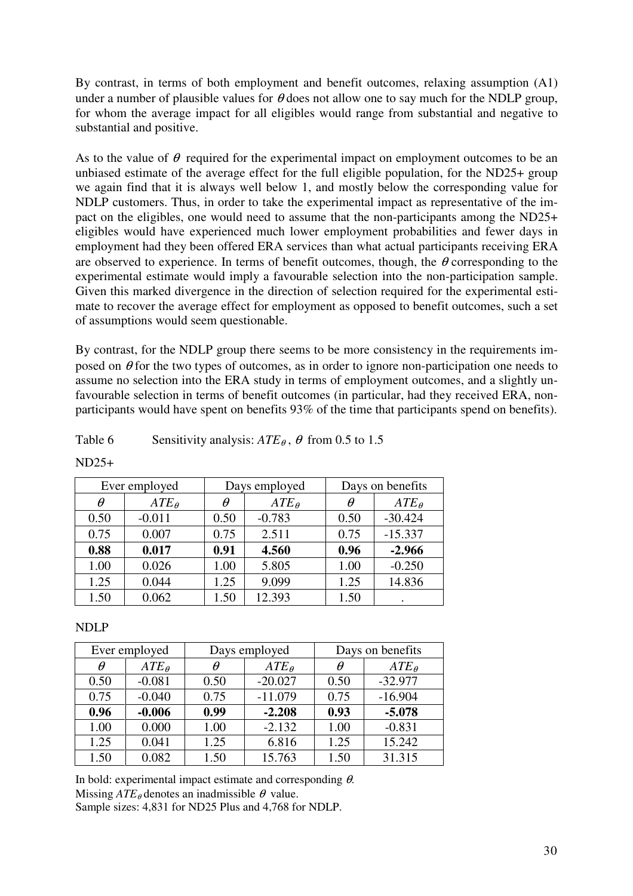By contrast, in terms of both employment and benefit outcomes, relaxing assumption (A1) under a number of plausible values for  $\theta$  does not allow one to say much for the NDLP group, for whom the average impact for all eligibles would range from substantial and negative to substantial and positive.

As to the value of  $\theta$  required for the experimental impact on employment outcomes to be an unbiased estimate of the average effect for the full eligible population, for the ND25+ group we again find that it is always well below 1, and mostly below the corresponding value for NDLP customers. Thus, in order to take the experimental impact as representative of the impact on the eligibles, one would need to assume that the non-participants among the ND25+ eligibles would have experienced much lower employment probabilities and fewer days in employment had they been offered ERA services than what actual participants receiving ERA are observed to experience. In terms of benefit outcomes, though, the  $\theta$  corresponding to the experimental estimate would imply a favourable selection into the non-participation sample. Given this marked divergence in the direction of selection required for the experimental estimate to recover the average effect for employment as opposed to benefit outcomes, such a set of assumptions would seem questionable.

By contrast, for the NDLP group there seems to be more consistency in the requirements imposed on  $\theta$  for the two types of outcomes, as in order to ignore non-participation one needs to assume no selection into the ERA study in terms of employment outcomes, and a slightly unfavourable selection in terms of benefit outcomes (in particular, had they received ERA, nonparticipants would have spent on benefits 93% of the time that participants spend on benefits).

#### Table 6 Sensitivity analysis:  $ATE_{\theta}$ ,  $\theta$  from 0.5 to 1.5

|      | Ever employed  | Days employed |                | Days on benefits |                |
|------|----------------|---------------|----------------|------------------|----------------|
| θ    | $ATE_{\theta}$ | $\theta$      | $ATE_{\theta}$ | $\theta$         | $ATE_{\theta}$ |
| 0.50 | $-0.011$       | 0.50          | $-0.783$       | 0.50             | $-30.424$      |
| 0.75 | 0.007          | 0.75          | 2.511          | 0.75             | $-15.337$      |
| 0.88 | 0.017          | 0.91          | 4.560          | 0.96             | $-2.966$       |
| 1.00 | 0.026          | 1.00          | 5.805          | 1.00             | $-0.250$       |
| 1.25 | 0.044          | 1.25          | 9.099          | 1.25             | 14.836         |
| 1.50 | 0.062          | 1.50          | 12.393         | 1.50             |                |

 $ND25+$ 

#### NDLP

|      | Ever employed  | Days employed |                |      | Days on benefits |
|------|----------------|---------------|----------------|------|------------------|
| Ĥ    | $ATE_{\theta}$ | θ             | $ATE_{\theta}$ | θ    | $ATE_{\theta}$   |
| 0.50 | $-0.081$       | 0.50          | $-20.027$      | 0.50 | $-32.977$        |
| 0.75 | $-0.040$       | 0.75          | $-11.079$      | 0.75 | $-16.904$        |
| 0.96 | $-0.006$       | 0.99          | $-2.208$       | 0.93 | $-5.078$         |
| 1.00 | 0.000          | 1.00          | $-2.132$       | 1.00 | $-0.831$         |
| 1.25 | 0.041          | 1.25          | 6.816          | 1.25 | 15.242           |
| 1.50 | 0.082          | 1.50          | 15.763         | 1.50 | 31.315           |

In bold: experimental impact estimate and corresponding  $\theta$ . Missing  $ATE_{\theta}$  denotes an inadmissible  $\theta$  value. Sample sizes: 4,831 for ND25 Plus and 4,768 for NDLP.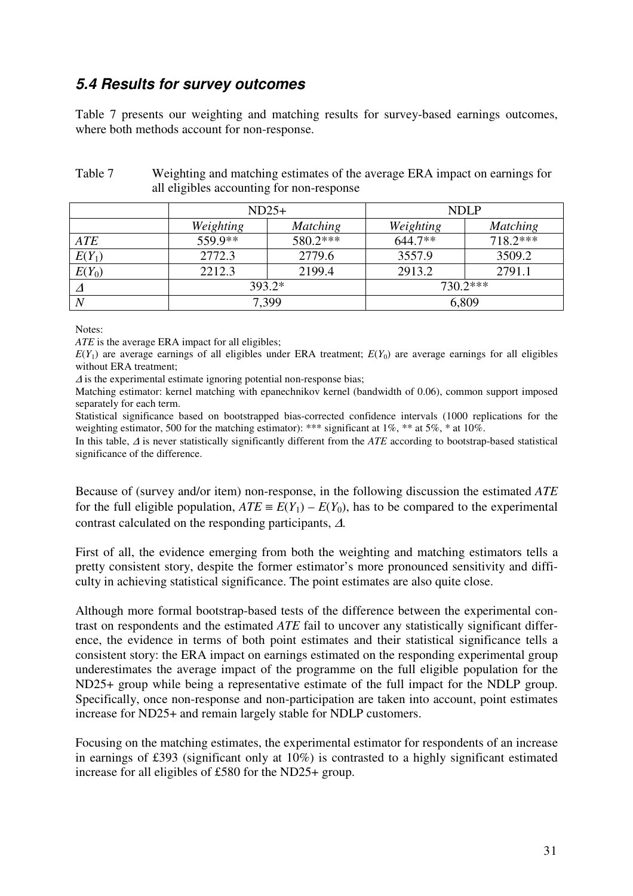### **5.4 Results for survey outcomes**

Table 7 presents our weighting and matching results for survey-based earnings outcomes, where both methods account for non-response.

| Table 7 | Weighting and matching estimates of the average ERA impact on earnings for |
|---------|----------------------------------------------------------------------------|
|         | all eligibles accounting for non-response                                  |

|          |           | $ND25+$         | <b>NDLP</b> |                 |  |
|----------|-----------|-----------------|-------------|-----------------|--|
|          | Weighting | <b>Matching</b> |             | <b>Matching</b> |  |
| ATE      | 559.9**   | 580.2***        | 644.7**     | $718.2***$      |  |
| $E(Y_1)$ | 2772.3    | 2779.6          | 3557.9      | 3509.2          |  |
| $E(Y_0)$ | 2212.3    | 2199.4          | 2913.2      | 2791.1          |  |
|          |           | 393.2*          |             | 730.2***        |  |
|          |           | 7,399           | 6,809       |                 |  |

Notes:

*ATE* is the average ERA impact for all eligibles;

 $E(Y_1)$  are average earnings of all eligibles under ERA treatment;  $E(Y_0)$  are average earnings for all eligibles without ERA treatment;

 $\Delta$  is the experimental estimate ignoring potential non-response bias;

Matching estimator: kernel matching with epanechnikov kernel (bandwidth of 0.06), common support imposed separately for each term.

Statistical significance based on bootstrapped bias-corrected confidence intervals (1000 replications for the weighting estimator, 500 for the matching estimator): \*\*\* significant at 1%, \*\* at 5%, \* at 10%.

In this table, ∆ is never statistically significantly different from the *ATE* according to bootstrap-based statistical significance of the difference.

Because of (survey and/or item) non-response, in the following discussion the estimated *ATE* for the full eligible population,  $ATE \equiv E(Y_1) - E(Y_0)$ , has to be compared to the experimental contrast calculated on the responding participants, <sup>∆</sup>.

First of all, the evidence emerging from both the weighting and matching estimators tells a pretty consistent story, despite the former estimator's more pronounced sensitivity and difficulty in achieving statistical significance. The point estimates are also quite close.

Although more formal bootstrap-based tests of the difference between the experimental contrast on respondents and the estimated *ATE* fail to uncover any statistically significant difference, the evidence in terms of both point estimates and their statistical significance tells a consistent story: the ERA impact on earnings estimated on the responding experimental group underestimates the average impact of the programme on the full eligible population for the ND25+ group while being a representative estimate of the full impact for the NDLP group. Specifically, once non-response and non-participation are taken into account, point estimates increase for ND25+ and remain largely stable for NDLP customers.

Focusing on the matching estimates, the experimental estimator for respondents of an increase in earnings of £393 (significant only at 10%) is contrasted to a highly significant estimated increase for all eligibles of £580 for the ND25+ group.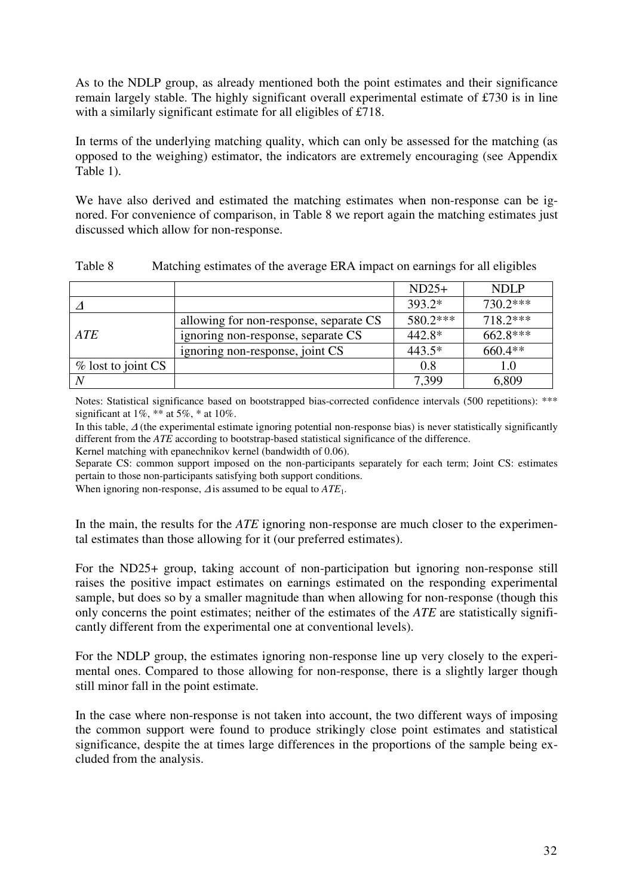As to the NDLP group, as already mentioned both the point estimates and their significance remain largely stable. The highly significant overall experimental estimate of £730 is in line with a similarly significant estimate for all eligibles of £718.

In terms of the underlying matching quality, which can only be assessed for the matching (as opposed to the weighing) estimator, the indicators are extremely encouraging (see Appendix Table 1).

We have also derived and estimated the matching estimates when non-response can be ignored. For convenience of comparison, in Table 8 we report again the matching estimates just discussed which allow for non-response.

|                      |                                        | $ND25+$  | <b>NDLP</b> |
|----------------------|----------------------------------------|----------|-------------|
|                      |                                        | $393.2*$ | 730.2***    |
|                      | allowing for non-response, separate CS | 580.2*** | 718.2***    |
| ATE                  | ignoring non-response, separate CS     | $442.8*$ | 662.8***    |
|                      | ignoring non-response, joint CS        | 443.5*   | 660.4**     |
| $%$ lost to joint CS |                                        | 0.8      | 1.0         |
| N                    |                                        | 7,399    | 6,809       |

| Table 8 | Matching estimates of the average ERA impact on earnings for all eligibles |  |  |  |  |
|---------|----------------------------------------------------------------------------|--|--|--|--|
|---------|----------------------------------------------------------------------------|--|--|--|--|

Notes: Statistical significance based on bootstrapped bias-corrected confidence intervals (500 repetitions): \*\*\* significant at  $1\%$ ,  $**$  at  $5\%$ ,  $*$  at  $10\%$ .

In this table, ∆ (the experimental estimate ignoring potential non-response bias) is never statistically significantly different from the *ATE* according to bootstrap-based statistical significance of the difference.

Kernel matching with epanechnikov kernel (bandwidth of 0.06).

Separate CS: common support imposed on the non-participants separately for each term; Joint CS: estimates pertain to those non-participants satisfying both support conditions.

When ignoring non-response, <sup>∆</sup> is assumed to be equal to *ATE*1.

In the main, the results for the *ATE* ignoring non-response are much closer to the experimental estimates than those allowing for it (our preferred estimates).

For the ND25+ group, taking account of non-participation but ignoring non-response still raises the positive impact estimates on earnings estimated on the responding experimental sample, but does so by a smaller magnitude than when allowing for non-response (though this only concerns the point estimates; neither of the estimates of the *ATE* are statistically significantly different from the experimental one at conventional levels).

For the NDLP group, the estimates ignoring non-response line up very closely to the experimental ones. Compared to those allowing for non-response, there is a slightly larger though still minor fall in the point estimate.

In the case where non-response is not taken into account, the two different ways of imposing the common support were found to produce strikingly close point estimates and statistical significance, despite the at times large differences in the proportions of the sample being excluded from the analysis.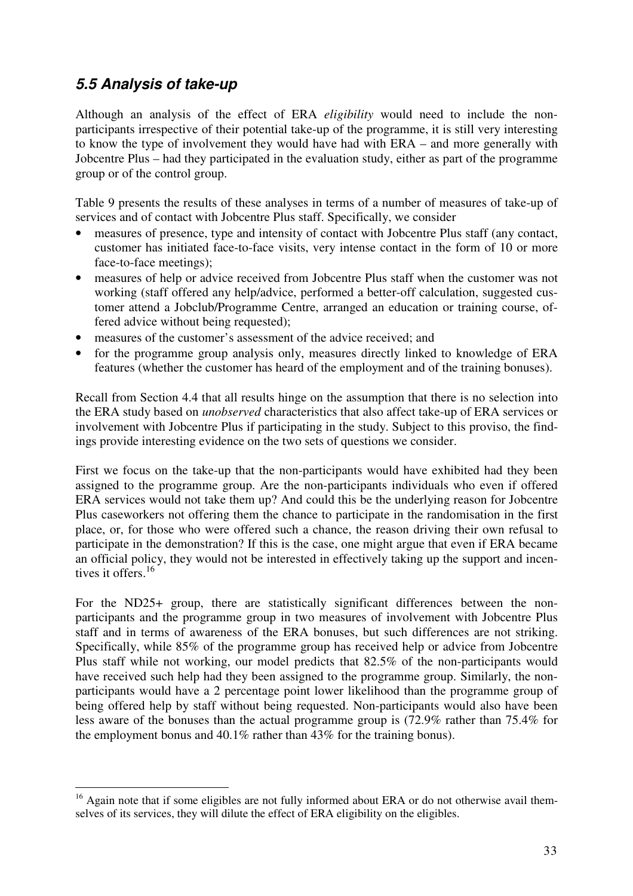### **5.5 Analysis of take-up**

Although an analysis of the effect of ERA *eligibility* would need to include the nonparticipants irrespective of their potential take-up of the programme, it is still very interesting to know the type of involvement they would have had with ERA – and more generally with Jobcentre Plus – had they participated in the evaluation study, either as part of the programme group or of the control group.

Table 9 presents the results of these analyses in terms of a number of measures of take-up of services and of contact with Jobcentre Plus staff. Specifically, we consider

- measures of presence, type and intensity of contact with Jobcentre Plus staff (any contact, customer has initiated face-to-face visits, very intense contact in the form of 10 or more face-to-face meetings);
- measures of help or advice received from Jobcentre Plus staff when the customer was not working (staff offered any help/advice, performed a better-off calculation, suggested customer attend a Jobclub/Programme Centre, arranged an education or training course, offered advice without being requested);
- measures of the customer's assessment of the advice received: and
- for the programme group analysis only, measures directly linked to knowledge of ERA features (whether the customer has heard of the employment and of the training bonuses).

Recall from Section 4.4 that all results hinge on the assumption that there is no selection into the ERA study based on *unobserved* characteristics that also affect take-up of ERA services or involvement with Jobcentre Plus if participating in the study. Subject to this proviso, the findings provide interesting evidence on the two sets of questions we consider.

First we focus on the take-up that the non-participants would have exhibited had they been assigned to the programme group. Are the non-participants individuals who even if offered ERA services would not take them up? And could this be the underlying reason for Jobcentre Plus caseworkers not offering them the chance to participate in the randomisation in the first place, or, for those who were offered such a chance, the reason driving their own refusal to participate in the demonstration? If this is the case, one might argue that even if ERA became an official policy, they would not be interested in effectively taking up the support and incentives it offers.<sup>16</sup>

For the ND25+ group, there are statistically significant differences between the nonparticipants and the programme group in two measures of involvement with Jobcentre Plus staff and in terms of awareness of the ERA bonuses, but such differences are not striking. Specifically, while 85% of the programme group has received help or advice from Jobcentre Plus staff while not working, our model predicts that 82.5% of the non-participants would have received such help had they been assigned to the programme group. Similarly, the nonparticipants would have a 2 percentage point lower likelihood than the programme group of being offered help by staff without being requested. Non-participants would also have been less aware of the bonuses than the actual programme group is (72.9% rather than 75.4% for the employment bonus and 40.1% rather than 43% for the training bonus).

 $\overline{a}$ <sup>16</sup> Again note that if some eligibles are not fully informed about ERA or do not otherwise avail themselves of its services, they will dilute the effect of ERA eligibility on the eligibles.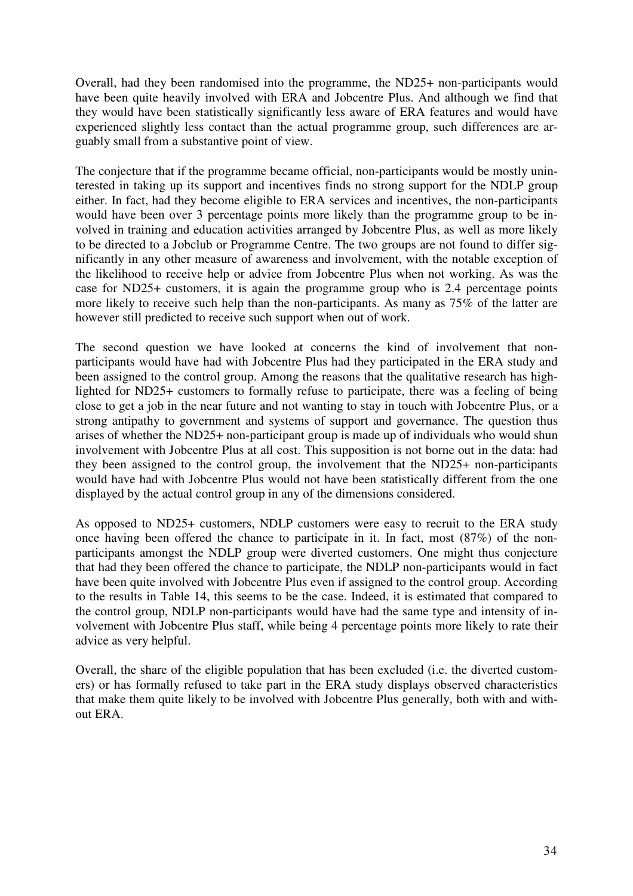Overall, had they been randomised into the programme, the ND25+ non-participants would have been quite heavily involved with ERA and Jobcentre Plus. And although we find that they would have been statistically significantly less aware of ERA features and would have experienced slightly less contact than the actual programme group, such differences are arguably small from a substantive point of view.

The conjecture that if the programme became official, non-participants would be mostly uninterested in taking up its support and incentives finds no strong support for the NDLP group either. In fact, had they become eligible to ERA services and incentives, the non-participants would have been over 3 percentage points more likely than the programme group to be involved in training and education activities arranged by Jobcentre Plus, as well as more likely to be directed to a Jobclub or Programme Centre. The two groups are not found to differ significantly in any other measure of awareness and involvement, with the notable exception of the likelihood to receive help or advice from Jobcentre Plus when not working. As was the case for ND25+ customers, it is again the programme group who is 2.4 percentage points more likely to receive such help than the non-participants. As many as 75% of the latter are however still predicted to receive such support when out of work.

The second question we have looked at concerns the kind of involvement that nonparticipants would have had with Jobcentre Plus had they participated in the ERA study and been assigned to the control group. Among the reasons that the qualitative research has highlighted for ND25+ customers to formally refuse to participate, there was a feeling of being close to get a job in the near future and not wanting to stay in touch with Jobcentre Plus, or a strong antipathy to government and systems of support and governance. The question thus arises of whether the ND25+ non-participant group is made up of individuals who would shun involvement with Jobcentre Plus at all cost. This supposition is not borne out in the data: had they been assigned to the control group, the involvement that the ND25+ non-participants would have had with Jobcentre Plus would not have been statistically different from the one displayed by the actual control group in any of the dimensions considered.

As opposed to ND25+ customers, NDLP customers were easy to recruit to the ERA study once having been offered the chance to participate in it. In fact, most (87%) of the nonparticipants amongst the NDLP group were diverted customers. One might thus conjecture that had they been offered the chance to participate, the NDLP non-participants would in fact have been quite involved with Jobcentre Plus even if assigned to the control group. According to the results in Table 14, this seems to be the case. Indeed, it is estimated that compared to the control group, NDLP non-participants would have had the same type and intensity of involvement with Jobcentre Plus staff, while being 4 percentage points more likely to rate their advice as very helpful.

Overall, the share of the eligible population that has been excluded (i.e. the diverted customers) or has formally refused to take part in the ERA study displays observed characteristics that make them quite likely to be involved with Jobcentre Plus generally, both with and without ERA.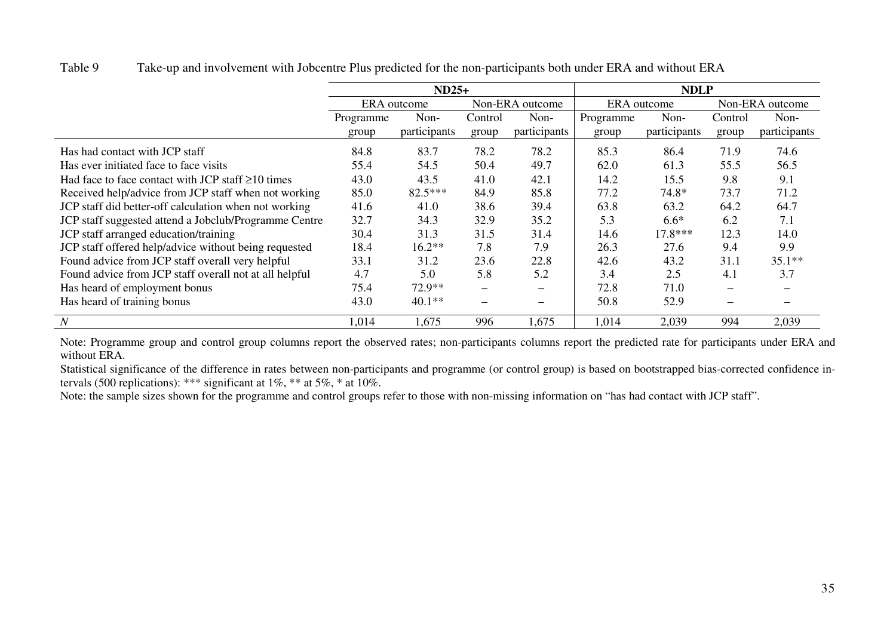Table 9 Take-up and involvement with Jobcentre Plus predicted for the non-participants both under ERA and without ERA

|                                                         | $ND25+$                        |              |                          |                          | <b>NDLP</b> |                 |         |              |
|---------------------------------------------------------|--------------------------------|--------------|--------------------------|--------------------------|-------------|-----------------|---------|--------------|
|                                                         | Non-ERA outcome<br>ERA outcome |              |                          | ERA outcome              |             | Non-ERA outcome |         |              |
|                                                         | Programme                      | Non-         | Control                  | Non-                     | Programme   | Non-            | Control | Non-         |
|                                                         | group                          | participants | group                    | participants             | group       | participants    | group   | participants |
| Has had contact with JCP staff                          | 84.8                           | 83.7         | 78.2                     | 78.2                     | 85.3        | 86.4            | 71.9    | 74.6         |
| Has ever initiated face to face visits                  | 55.4                           | 54.5         | 50.4                     | 49.7                     | 62.0        | 61.3            | 55.5    | 56.5         |
| Had face to face contact with JCP staff $\geq 10$ times | 43.0                           | 43.5         | 41.0                     | 42.1                     | 14.2        | 15.5            | 9.8     | 9.1          |
| Received help/advice from JCP staff when not working    | 85.0                           | 82.5***      | 84.9                     | 85.8                     | 77.2        | 74.8*           | 73.7    | 71.2         |
| JCP staff did better-off calculation when not working   | 41.6                           | 41.0         | 38.6                     | 39.4                     | 63.8        | 63.2            | 64.2    | 64.7         |
| JCP staff suggested attend a Jobclub/Programme Centre   | 32.7                           | 34.3         | 32.9                     | 35.2                     | 5.3         | $6.6*$          | 6.2     | 7.1          |
| JCP staff arranged education/training                   | 30.4                           | 31.3         | 31.5                     | 31.4                     | 14.6        | $17.8***$       | 12.3    | 14.0         |
| JCP staff offered help/advice without being requested   | 18.4                           | $16.2**$     | 7.8                      | 7.9                      | 26.3        | 27.6            | 9.4     | 9.9          |
| Found advice from JCP staff overall very helpful        | 33.1                           | 31.2         | 23.6                     | 22.8                     | 42.6        | 43.2            | 31.1    | $35.1**$     |
| Found advice from JCP staff overall not at all helpful  | 4.7                            | 5.0          | 5.8                      | 5.2                      | 3.4         | 2.5             | 4.1     | 3.7          |
| Has heard of employment bonus                           | 75.4                           | $72.9**$     | $\overline{\phantom{0}}$ |                          | 72.8        | 71.0            |         |              |
| Has heard of training bonus                             | 43.0                           | $40.1**$     |                          | $\overline{\phantom{0}}$ | 50.8        | 52.9            |         |              |
| N                                                       | 1,014                          | 1,675        | 996                      | 1,675                    | 1,014       | 2,039           | 994     | 2,039        |

Note: Programme group and control group columns report the observed rates; non-participants columns report the predicted rate for participants under ERA and without ERA.

 Statistical significance of the difference in rates between non-participants and programme (or control group) is based on bootstrapped bias-corrected confidence intervals (500 replications): \*\*\* significant at  $1\%$ , \*\* at  $5\%$ , \* at  $10\%$ .

Note: the sample sizes shown for the programme and control groups refer to those with non-missing information on "has had contact with JCP staff".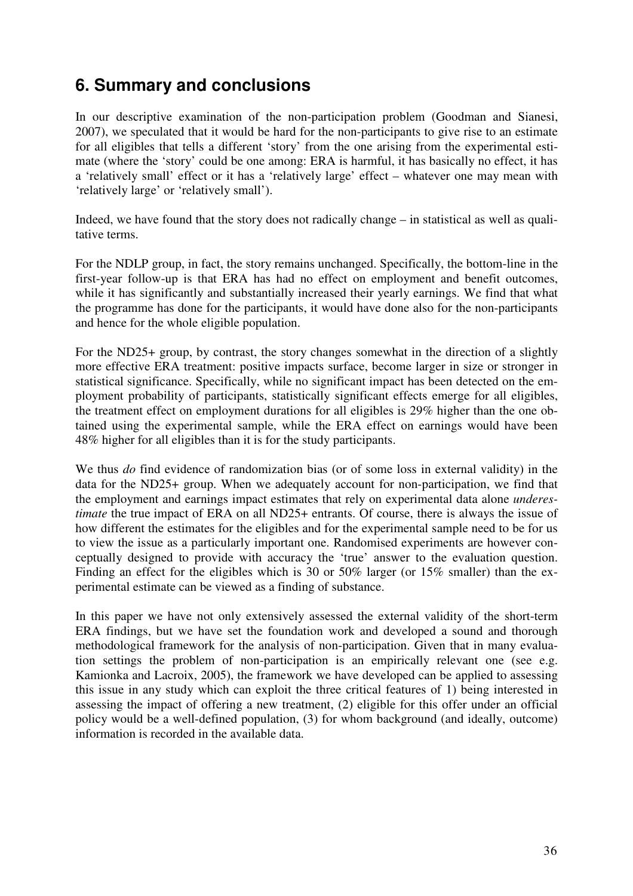# **6. Summary and conclusions**

In our descriptive examination of the non-participation problem (Goodman and Sianesi, 2007), we speculated that it would be hard for the non-participants to give rise to an estimate for all eligibles that tells a different 'story' from the one arising from the experimental estimate (where the 'story' could be one among: ERA is harmful, it has basically no effect, it has a 'relatively small' effect or it has a 'relatively large' effect – whatever one may mean with 'relatively large' or 'relatively small').

Indeed, we have found that the story does not radically change – in statistical as well as qualitative terms.

For the NDLP group, in fact, the story remains unchanged. Specifically, the bottom-line in the first-year follow-up is that ERA has had no effect on employment and benefit outcomes, while it has significantly and substantially increased their yearly earnings. We find that what the programme has done for the participants, it would have done also for the non-participants and hence for the whole eligible population.

For the ND25+ group, by contrast, the story changes somewhat in the direction of a slightly more effective ERA treatment: positive impacts surface, become larger in size or stronger in statistical significance. Specifically, while no significant impact has been detected on the employment probability of participants, statistically significant effects emerge for all eligibles, the treatment effect on employment durations for all eligibles is 29% higher than the one obtained using the experimental sample, while the ERA effect on earnings would have been 48% higher for all eligibles than it is for the study participants.

We thus *do* find evidence of randomization bias (or of some loss in external validity) in the data for the ND25+ group. When we adequately account for non-participation, we find that the employment and earnings impact estimates that rely on experimental data alone *underestimate* the true impact of ERA on all ND25+ entrants. Of course, there is always the issue of how different the estimates for the eligibles and for the experimental sample need to be for us to view the issue as a particularly important one. Randomised experiments are however conceptually designed to provide with accuracy the 'true' answer to the evaluation question. Finding an effect for the eligibles which is 30 or 50% larger (or 15% smaller) than the experimental estimate can be viewed as a finding of substance.

In this paper we have not only extensively assessed the external validity of the short-term ERA findings, but we have set the foundation work and developed a sound and thorough methodological framework for the analysis of non-participation. Given that in many evaluation settings the problem of non-participation is an empirically relevant one (see e.g. Kamionka and Lacroix, 2005), the framework we have developed can be applied to assessing this issue in any study which can exploit the three critical features of 1) being interested in assessing the impact of offering a new treatment, (2) eligible for this offer under an official policy would be a well-defined population, (3) for whom background (and ideally, outcome) information is recorded in the available data.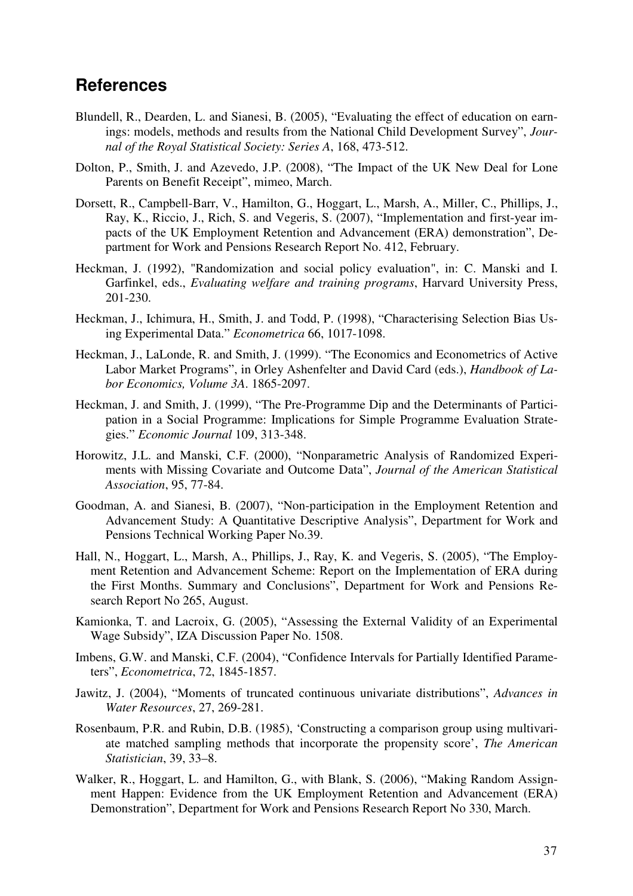### **References**

- Blundell, R., Dearden, L. and Sianesi, B. (2005), "Evaluating the effect of education on earnings: models, methods and results from the National Child Development Survey", *Journal of the Royal Statistical Society: Series A*, 168, 473-512.
- Dolton, P., Smith, J. and Azevedo, J.P. (2008), "The Impact of the UK New Deal for Lone Parents on Benefit Receipt", mimeo, March.
- Dorsett, R., Campbell-Barr, V., Hamilton, G., Hoggart, L., Marsh, A., Miller, C., Phillips, J., Ray, K., Riccio, J., Rich, S. and Vegeris, S. (2007), "Implementation and first-year impacts of the UK Employment Retention and Advancement (ERA) demonstration", Department for Work and Pensions Research Report No. 412, February.
- Heckman, J. (1992), "Randomization and social policy evaluation", in: C. Manski and I. Garfinkel, eds., *Evaluating welfare and training programs*, Harvard University Press, 201-230.
- Heckman, J., Ichimura, H., Smith, J. and Todd, P. (1998), "Characterising Selection Bias Using Experimental Data." *Econometrica* 66, 1017-1098.
- Heckman, J., LaLonde, R. and Smith, J. (1999). "The Economics and Econometrics of Active Labor Market Programs", in Orley Ashenfelter and David Card (eds.), *Handbook of Labor Economics, Volume 3A*. 1865-2097.
- Heckman, J. and Smith, J. (1999), "The Pre-Programme Dip and the Determinants of Participation in a Social Programme: Implications for Simple Programme Evaluation Strategies." *Economic Journal* 109, 313-348.
- Horowitz, J.L. and Manski, C.F. (2000), "Nonparametric Analysis of Randomized Experiments with Missing Covariate and Outcome Data", *Journal of the American Statistical Association*, 95, 77-84.
- Goodman, A. and Sianesi, B. (2007), "Non-participation in the Employment Retention and Advancement Study: A Quantitative Descriptive Analysis", Department for Work and Pensions Technical Working Paper No.39.
- Hall, N., Hoggart, L., Marsh, A., Phillips, J., Ray, K. and Vegeris, S. (2005), "The Employment Retention and Advancement Scheme: Report on the Implementation of ERA during the First Months. Summary and Conclusions", Department for Work and Pensions Research Report No 265, August.
- Kamionka, T. and Lacroix, G. (2005), "Assessing the External Validity of an Experimental Wage Subsidy", IZA Discussion Paper No. 1508.
- Imbens, G.W. and Manski, C.F. (2004), "Confidence Intervals for Partially Identified Parameters", *Econometrica*, 72, 1845-1857.
- Jawitz, J. (2004), "Moments of truncated continuous univariate distributions", *Advances in Water Resources*, 27, 269-281.
- Rosenbaum, P.R. and Rubin, D.B. (1985), 'Constructing a comparison group using multivariate matched sampling methods that incorporate the propensity score', *The American Statistician*, 39, 33–8.
- Walker, R., Hoggart, L. and Hamilton, G., with Blank, S. (2006), "Making Random Assignment Happen: Evidence from the UK Employment Retention and Advancement (ERA) Demonstration", Department for Work and Pensions Research Report No 330, March.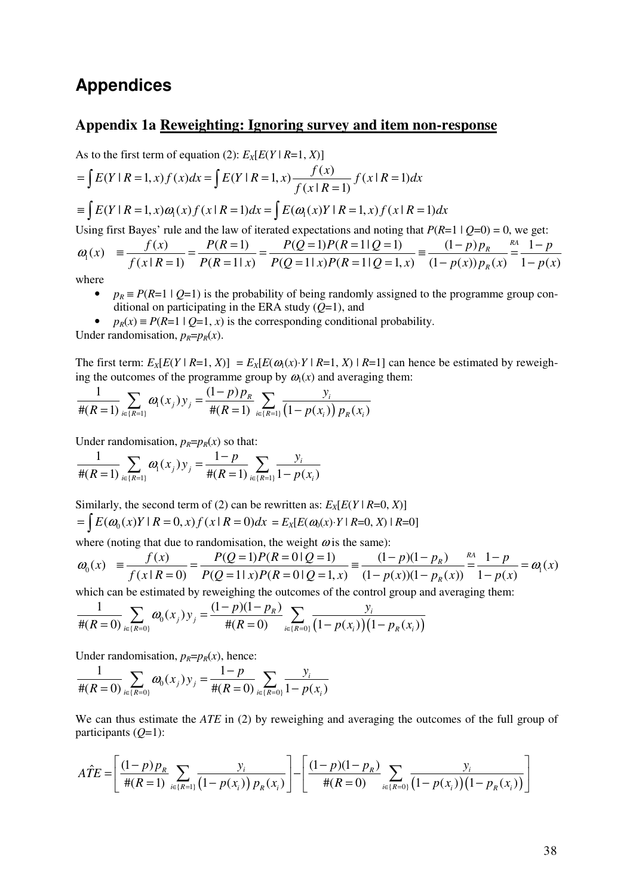### **Appendices**

#### **Appendix 1a Reweighting: Ignoring survey and item non-response**

As to the first term of equation (2):  $E_X[E(Y \mid R=1, X)]$  $\equiv \int E(Y \mid R=1, x) \omega_1(x) f(x \mid R=1) dx = \int E(\omega_1(x)Y \mid R=1, x) f(x \mid R=1) dx$  $(Y | R = 1, x) f(x) dx = \int E(Y | R = 1, x) \frac{f(x)}{g(x) - g(x)} f(x | R = 1)$  $(x | R = 1)$  $E(Y | R = 1, x) f(x) dx = \int E(Y | R = 1, x) \frac{f(x)}{g(x) + g(x)} f(x | R = 1) dx$  $f(x|R)$  $= E(Y | R = 1, x) f(x) dx = E(Y | R = 1, x) \frac{f(x)}{f(x) - f(x)} f(x | R = 1, x)$  $\int E(Y | R = 1, x) f(x) dx = \int E(Y | R = 1, x) \frac{f(x)}{f(x | R = 1, x)}$ Using first Bayes' rule and the law of iterated expectations and noting that  $P(R=1 | Q=0) = 0$ , we get:

$$
\omega_1(x) = \frac{f(x)}{f(x|R=1)} = \frac{P(R=1)}{P(R=1|x)} = \frac{P(Q=1)P(R=1|Q=1)}{P(Q=1|x)P(R=1|Q=1,x)} = \frac{(1-p)p_R}{(1-p(x))p_R(x)} = \frac{A}{1-p(x)}
$$
  
where

where

- $p_R \equiv P(R=1 \mid Q=1)$  is the probability of being randomly assigned to the programme group conditional on participating in the ERA study (*Q*=1), and
- $p_R(x) \equiv P(R=1 \mid Q=1, x)$  is the corresponding conditional probability. Under randomisation,  $p_R=p_R(x)$ .

The first term:  $E_X[E(Y \mid R=1, X)] = E_X[E(\omega_1(x) \cdot Y \mid R=1, X) \mid R=1]$  can hence be estimated by reweighing the outcomes of the programme group by  $\omega_1(x)$  and averaging them:

$$
\frac{1}{\#(R=1)}\sum_{i\in\{R=1\}}\omega_{i}(x_{j})y_{j}=\frac{(1-p)p_{R}}{\#(R=1)}\sum_{i\in\{R=1\}}\frac{y_{i}}{(1-p(x_{i}))p_{R}(x_{i})}
$$

Under randomisation,  $p_R=p_R(x)$  so that:

$$
\frac{1}{\#(R=1)}\sum_{i\in\{R=1\}}\omega_{i}(x_{j})y_{j}=\frac{1-p}{\#(R=1)}\sum_{i\in\{R=1\}}\frac{y_{i}}{1-p(x_{i})}
$$

Similarly, the second term of (2) can be rewritten as:  $E_X[E(Y \mid R=0, X)]$  $=\int E(\omega_0(x)Y \mid R=0, x) f(x \mid R=0) dx = E_X[E(\omega_0(x) \cdot Y \mid R=0, X) \mid R=0]$ 

where (noting that due to randomisation, the weight  $\omega$  is the same):

$$
\omega_0(x) = \frac{f(x)}{f(x \mid R=0)} = \frac{P(Q=1)P(R=0|Q=1)}{P(Q=1|x)P(R=0|Q=1,x)} = \frac{(1-p)(1-p_R)}{(1-p(x))(1-p_R(x))} = \frac{1-p}{1-p(x)} = \omega_1(x)
$$

which can be estimated by reweighing the outcomes of the control group and averaging them:

$$
\frac{1}{\#(R=0)}\sum_{i\in\{R=0\}}\omega_0(x_j)y_j=\frac{(1-p)(1-p_R)}{\#(R=0)}\sum_{i\in\{R=0\}}\frac{y_i}{(1-p(x_i))(1-p_R(x_i))}
$$

Under randomisation,  $p_R = p_R(x)$ , hence:

$$
\frac{1}{\#(R=0)}\sum_{i\in\{R=0\}}\omega_0(x_j)y_j=\frac{1-p}{\#(R=0)}\sum_{i\in\{R=0\}}\frac{y_i}{1-p(x_i)}
$$

We can thus estimate the *ATE* in (2) by reweighing and averaging the outcomes of the full group of participants (*Q*=1):

$$
\hat{ATE} = \left[ \frac{(1-p)p_R}{\#(R=1)} \sum_{i \in \{R=1\}} \frac{y_i}{(1-p(x_i)) p_R(x_i)} \right] - \left[ \frac{(1-p)(1-p_R)}{\#(R=0)} \sum_{i \in \{R=0\}} \frac{y_i}{(1-p(x_i)) (1-p_R(x_i))} \right]
$$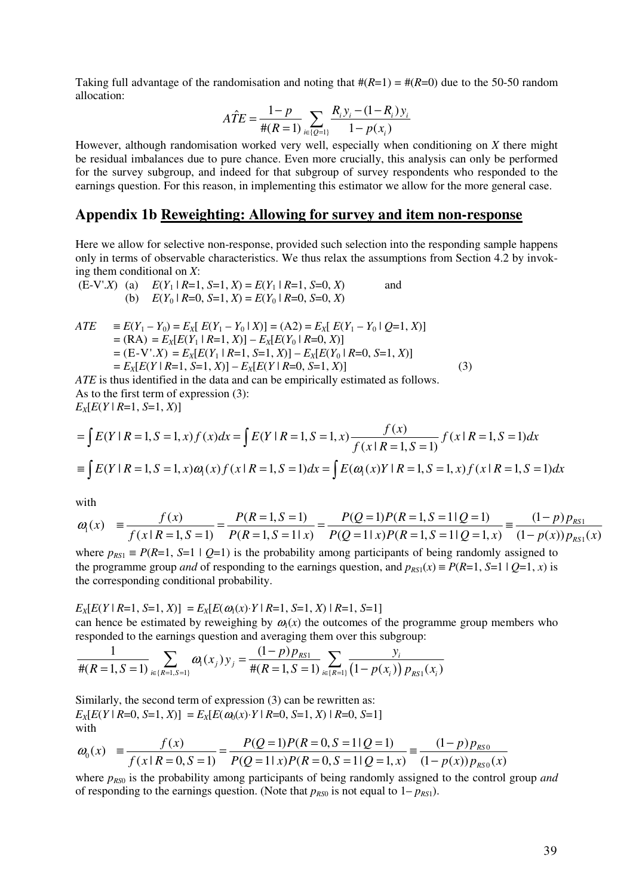Taking full advantage of the randomisation and noting that  $\#(R=1) = \#(R=0)$  due to the 50-50 random allocation:

$$
\hat{ATE} = \frac{1 - p}{\#(R = 1)} \sum_{i \in \{Q = 1\}} \frac{R_i y_i - (1 - R_i) y_i}{1 - p(x_i)}
$$

However, although randomisation worked very well, especially when conditioning on *X* there might be residual imbalances due to pure chance. Even more crucially, this analysis can only be performed for the survey subgroup, and indeed for that subgroup of survey respondents who responded to the earnings question. For this reason, in implementing this estimator we allow for the more general case.

#### **Appendix 1b Reweighting: Allowing for survey and item non-response**

Here we allow for selective non-response, provided such selection into the responding sample happens only in terms of observable characteristics. We thus relax the assumptions from Section 4.2 by invoking them conditional on *X*:

(E-V'.X) (a) 
$$
E(Y_1 | R=1, S=1, X) = E(Y_1 | R=1, S=0, X)
$$
 and  
(b)  $E(Y_0 | R=0, S=1, X) = E(Y_0 | R=0, S=0, X)$ 

$$
ATE = E(Y_1 - Y_0) = E_X [E(Y_1 - Y_0 | X)] = (A2) = E_X [E(Y_1 - Y_0 | Q=1, X)]
$$
  
= (RA) = E\_X [E(Y\_1 | R=1, X)] - E\_X [E(Y\_0 | R=0, X)]  
= (E-V'.X) = E\_X [E(Y\_1 | R=1, S=1, X)] - E\_X [E(Y\_0 | R=0, S=1, X)]  
= E\_X [E(Y | R=1, S=1, X)] - E\_X [E(Y | R=0, S=1, X)] (3)

*ATE* is thus identified in the data and can be empirically estimated as follows. As to the first term of expression (3):  $E_X[E(Y \mid R=1, S=1, X)]$ 

$$
= \int E(Y \mid R=1, S=1, x) f(x) dx = \int E(Y \mid R=1, S=1, x) \frac{f(x)}{f(x \mid R=1, S=1)} f(x \mid R=1, S=1) dx
$$
  

$$
\equiv \int E(Y \mid R=1, S=1, x) \omega_1(x) f(x \mid R=1, S=1) dx = \int E(\omega_1(x)Y \mid R=1, S=1, x) f(x \mid R=1, S=1) dx
$$

with

$$
\omega_{\rm l}(x) = \frac{f(x)}{f(x \mid R=1, S=1)} = \frac{P(R=1, S=1)}{P(R=1, S=1 \mid x)} = \frac{P(Q=1)P(R=1, S=1 \mid Q=1)}{P(Q=1 \mid x)P(R=1, S=1 \mid Q=1, x)} = \frac{(1-p) p_{RS1}}{(1-p(x)) p_{RS1}(x)}
$$

where  $p_{RS1} = P(R=1, S=1 | Q=1)$  is the probability among participants of being randomly assigned to the programme group *and* of responding to the earnings question, and  $p_{RS1}(x) = P(R=1, S=1 | Q=1, x)$  is the corresponding conditional probability.

 $E_X[E(Y \mid R=1, S=1, X)] = E_X[E(\omega_1(x) \cdot Y \mid R=1, S=1, X) \mid R=1, S=1]$ can hence be estimated by reweighing by  $\omega_1(x)$  the outcomes of the programme group members who responded to the earnings question and averaging them over this subgroup:

$$
\frac{1}{\#(R=1,S=1)}\sum_{i\in\{R=1,S=1\}}\omega_{i}(x_{j})y_{j}=\frac{(1-p)p_{RS1}}{\#(R=1,S=1)}\sum_{i\in\{R=1\}}\frac{y_{i}}{(1-p(x_{i}))p_{RS1}(x_{i})}
$$

Similarly, the second term of expression (3) can be rewritten as:  $E_X[E(Y \mid R=0, S=1, X)] = E_X[E(\omega_0(x) \cdot Y \mid R=0, S=1, X) \mid R=0, S=1]$ with

$$
\omega_0(x) = \frac{f(x)}{f(x \mid R = 0, S = 1)} = \frac{P(Q = 1)P(R = 0, S = 1|Q = 1)}{P(Q = 1|x)P(R = 0, S = 1|Q = 1, x)} = \frac{(1-p)p_{RS0}}{(1-p(x))p_{RS0}(x)}
$$

where  $p_{RS0}$  is the probability among participants of being randomly assigned to the control group *and* of responding to the earnings question. (Note that  $p_{RS0}$  is not equal to  $1-p_{RS1}$ ).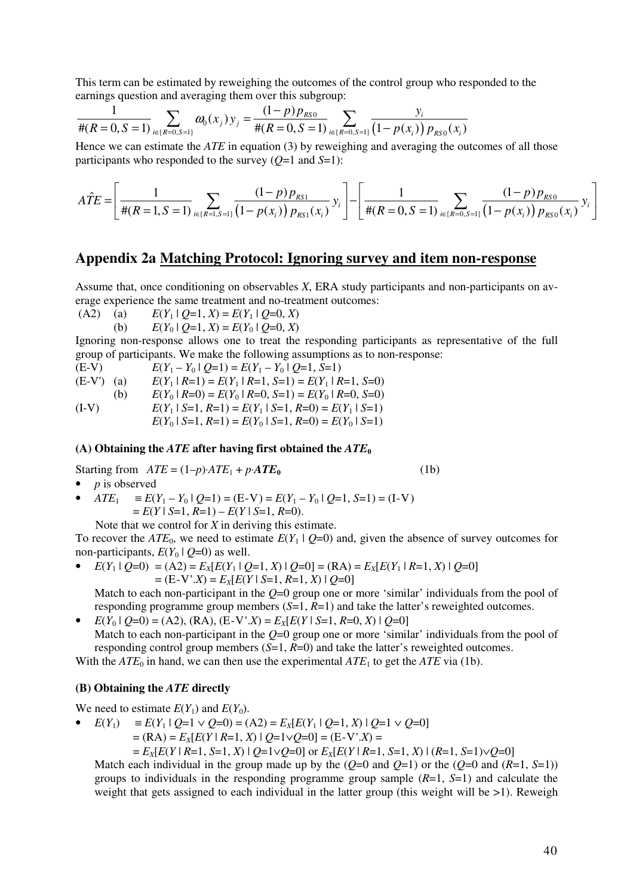This term can be estimated by reweighing the outcomes of the control group who responded to the earnings question and averaging them over this subgroup:

$$
\frac{1}{\#(R=0,S=1)}\sum_{i\in\{R=0,S=1\}}\omega_{0}(x_{j})y_{j}=\frac{(1-p)p_{RS0}}{\#(R=0,S=1)}\sum_{i\in\{R=0,S=1\}}\frac{y_{i}}{\left(1-p(x_{i})\right)p_{RS0}(x_{i})}
$$

Hence we can estimate the *ATE* in equation (3) by reweighing and averaging the outcomes of all those participants who responded to the survey (*Q*=1 and *S*=1):

$$
\hat{ATE} = \left[ \frac{1}{\#(R=1, S=1)} \sum_{i \in \{R=1, S=1\}} \frac{(1-p) p_{RS1}}{(1-p(x_i)) p_{RS1}(x_i)} y_i \right] - \left[ \frac{1}{\#(R=0, S=1)} \sum_{i \in \{R=0, S=1\}} \frac{(1-p) p_{RS0}}{(1-p(x_i)) p_{RS0}(x_i)} y_i \right]
$$

#### **Appendix 2a Matching Protocol: Ignoring survey and item non-response**

Assume that, once conditioning on observables *X*, ERA study participants and non-participants on average experience the same treatment and no-treatment outcomes:

(A2) (a)  $E(Y_1 | O=1, X) = E(Y_1 | O=0, X)$ 

(b)  $E(Y_0 | Q=1, X) = E(Y_0 | Q=0, X)$ 

Ignoring non-response allows one to treat the responding participants as representative of the full group of participants. We make the following assumptions as to non-response:

(E-V)  $E(Y_1 - Y_0 | Q=1) = E(Y_1 - Y_0 | Q=1, S=1)$ <br>  $E(Y_1 | R=1) = E(Y_1 | R=1, S=1) = E(Y_1 | R=1, S=1)$  $E(Y_1 | R=1) = E(Y_1 | R=1, S=1) = E(Y_1 | R=1, S=0)$ 

(b)  $E(Y_0 | R=0) = E(Y_0 | R=0, S=1) = E(Y_0 | R=0, S=0)$ 

(I-V)  $E(Y_1 | S=1, R=1) = E(Y_1 | S=1, R=0) = E(Y_1 | S=1)$ 

 $E(Y_0 | S=1, R=1) = E(Y_0 | S=1, R=0) = E(Y_0 | S=1)$ 

#### (A) Obtaining the *ATE* after having first obtained the  $ATE<sub>0</sub>$

Starting from  $ATE = (1-p) \cdot ATE_1 + p \cdot ATE_0$  (1b)

• *p* is observed

 $ATE_1 \equiv E(Y_1 - Y_0 | O=1) = (E-V) = E(Y_1 - Y_0 | O=1, S=1) = (I-V)$  $E(Y \mid S=1, R=1) - E(Y \mid S=1, R=0).$ 

Note that we control for *X* in deriving this estimate.

To recover the  $ATE_0$ , we need to estimate  $E(Y_1 | Q=0)$  and, given the absence of survey outcomes for non-participants,  $E(Y_0 | Q=0)$  as well.

 $E(Y_1 | O=0) = (A2) = E_Y[E(Y_1 | O=1, X) | O=0] = (RA) = E_Y[E(Y_1 | R=1, X) | O=0]$  $=$   $(E-V'X) = E_X[E(Y \mid S=1, R=1, X) \mid Q=0]$ 

Match to each non-participant in the *Q*=0 group one or more 'similar' individuals from the pool of responding programme group members (*S*=1, *R*=1) and take the latter's reweighted outcomes.

 $E(Y_0 | Q=0) = (A2), (RA), (E-V'.X) = E_X[E(Y | S=1, R=0, X) | Q=0]$ Match to each non-participant in the *Q*=0 group one or more 'similar' individuals from the pool of responding control group members  $(S=1, R=0)$  and take the latter's reweighted outcomes.

With the  $ATE_0$  in hand, we can then use the experimental  $ATE_1$  to get the  $ATE$  via (1b).

#### **(B) Obtaining the** *ATE* **directly**

We need to estimate  $E(Y_1)$  and  $E(Y_0)$ .

- *E*(*Y*1) ≡ *E*(*Y*1 | *Q*=1 ∨ *Q*=0) = (A2) = *EX*[*E*(*Y*1 | *Q*=1, *X*) | *Q*=1 ∨ *Q*=0]
	- $=$   $(RA) = E_X[E(Y | R=1, X) | Q=1 \vee Q=0] = (E-V'.X) =$

 $E_X[E(Y \mid R=1, S=1, X) \mid Q=1 \lor Q=0]$  or  $E_X[E(Y \mid R=1, S=1, X) \mid (R=1, S=1) \lor Q=0]$ 

Match each individual in the group made up by the  $(Q=0 \text{ and } Q=1)$  or the  $(Q=0 \text{ and } (R=1, S=1))$ groups to individuals in the responding programme group sample (*R*=1, *S*=1) and calculate the weight that gets assigned to each individual in the latter group (this weight will be  $>1$ ). Reweigh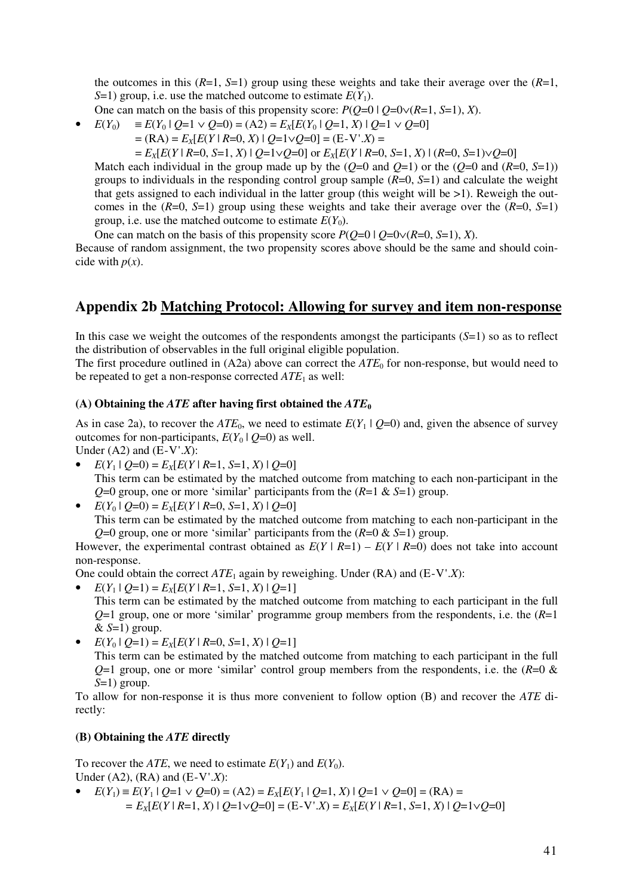the outcomes in this  $(R=1, S=1)$  group using these weights and take their average over the  $(R=1, S=1)$ *S*=1) group, i.e. use the matched outcome to estimate  $E(Y_1)$ .

- One can match on the basis of this propensity score:  $P(Q=0 | Q=0 \vee (R=1, S=1), X)$ .
- $E(Y_0) = E(Y_0 | Q=1 \vee Q=0) = (A2) = E_X[E(Y_0 | Q=1, X) | Q=1 \vee Q=0]$ 
	- $=$   $(RA) = E_X[E(Y \mid R=0, X) \mid Q=1 \vee Q=0] = (E-V'.X) =$

 $E_X[E(Y \mid R=0, S=1, X) \mid Q=1 \vee Q=0]$  or  $E_X[E(Y \mid R=0, S=1, X) \mid (R=0, S=1) \vee Q=0]$ 

Match each individual in the group made up by the  $(Q=0 \text{ and } Q=1)$  or the  $(Q=0 \text{ and } (R=0, S=1))$ groups to individuals in the responding control group sample (*R*=0, *S*=1) and calculate the weight that gets assigned to each individual in the latter group (this weight will be  $>1$ ). Reweigh the outcomes in the (*R*=0, *S*=1) group using these weights and take their average over the (*R*=0, *S*=1) group, i.e. use the matched outcome to estimate  $E(Y_0)$ .

One can match on the basis of this propensity score  $P(O=0 | O=0 \vee (R=0, S=1), X)$ .

Because of random assignment, the two propensity scores above should be the same and should coincide with  $p(x)$ .

#### **Appendix 2b Matching Protocol: Allowing for survey and item non-response**

In this case we weight the outcomes of the respondents amongst the participants  $(S=1)$  so as to reflect the distribution of observables in the full original eligible population.

The first procedure outlined in  $(A2a)$  above can correct the  $ATE<sub>0</sub>$  for non-response, but would need to be repeated to get a non-response corrected *ATE*1 as well:

#### (A) Obtaining the *ATE* after having first obtained the  $ATE<sub>0</sub>$

As in case 2a), to recover the  $ATE_0$ , we need to estimate  $E(Y_1 | Q=0)$  and, given the absence of survey outcomes for non-participants,  $E(Y_0 | O=0)$  as well.

Under (A2) and (E-V'.*X*):

- $E(Y_1 | Q=0) = E_X[E(Y | R=1, S=1, X) | Q=0]$ This term can be estimated by the matched outcome from matching to each non-participant in the *Q*=0 group, one or more 'similar' participants from the (*R*=1 & *S*=1) group.
- $E(Y_0 | Q=0) = E_X[E(Y | R=0, S=1, X) | Q=0]$

This term can be estimated by the matched outcome from matching to each non-participant in the *Q*=0 group, one or more 'similar' participants from the (*R*=0 & *S*=1) group.

However, the experimental contrast obtained as  $E(Y | R=1) - E(Y | R=0)$  does not take into account non-response.

One could obtain the correct *ATE*1 again by reweighing. Under (RA) and (E-V'.*X*):

- $E(Y_1 | Q=1) = E_X[E(Y | R=1, S=1, X) | Q=1]$ This term can be estimated by the matched outcome from matching to each participant in the full *Q*=1 group, one or more 'similar' programme group members from the respondents, i.e. the (*R*=1  $&$  *S*=1) group.
- $E(Y_0 | Q=1) = E_X[E(Y | R=0, S=1, X) | Q=1]$

This term can be estimated by the matched outcome from matching to each participant in the full  $Q=1$  group, one or more 'similar' control group members from the respondents, i.e. the  $(R=0 \&$ *S*=1) group.

To allow for non-response it is thus more convenient to follow option (B) and recover the *ATE* directly:

#### **(B) Obtaining the** *ATE* **directly**

To recover the *ATE*, we need to estimate  $E(Y_1)$  and  $E(Y_0)$ . Under (A2), (RA) and (E-V'.*X*):

*E*(*Y*<sub>1</sub>) ≡ *E*(*Y*<sub>1</sub> | *Q*=1 ∨ *Q*=0) = (A2) = *E*<sub>*X*</sub>[*E*(*Y*<sub>1</sub> | *Q*=1, *X*) | *Q*=1 ∨ *Q*=0] = (RA) =  *= EX*[*E*(*Y* | *R*=1, *X*) | *Q*=1∨*Q*=0] = (E-V'.*X*) = *EX*[*E*(*Y* | *R*=1, *S*=1, *X*) | *Q*=1∨*Q*=0]